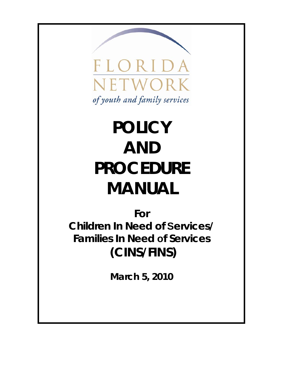

# **POLICY AND PROCEDURE MANUAL**

**For Children In Need of Services/ Families In Need of Services (CINS/FINS)** 

**March 5, 2010**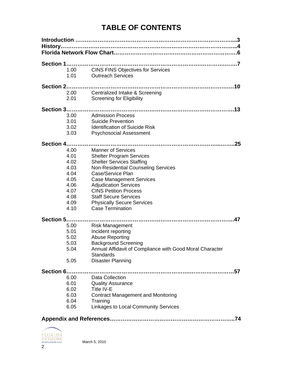# **TABLE OF CONTENTS**

|                  | Section 1…………………………………………………………………………………7                |
|------------------|----------------------------------------------------------|
| 1.00             | <b>CINS FINS Objectives for Services</b>                 |
| 1.01             | <b>Outreach Services</b>                                 |
| <b>Section 2</b> |                                                          |
| 2.00             | Centralized Intake & Screening                           |
| 2.01             | <b>Screening for Eligibility</b>                         |
|                  | Section 3…………………………………………………………………………………………13            |
| 3.00             | <b>Admission Process</b>                                 |
| 3.01             | <b>Suicide Prevention</b>                                |
| 3.02             | <b>Identification of Suicide Risk</b>                    |
| 3.03             | <b>Psychosocial Assessment</b>                           |
| <b>Section 4</b> | .25                                                      |
| 4.00             | <b>Manner of Services</b>                                |
| 4.01             | <b>Shelter Program Services</b>                          |
| 4.02             | <b>Shelter Services Staffing</b>                         |
| 4.03             | <b>Non-Residential Counseling Services</b>               |
| 4.04             | Case/Service Plan                                        |
| 4.05             | <b>Case Management Services</b>                          |
| 4.06             | <b>Adjudication Services</b>                             |
| 4.07             | <b>CINS Petition Process</b>                             |
| 4.08             | <b>Staff Secure Services</b>                             |
| 4.09             | <b>Physically Secure Services</b>                        |
| 4.10             | <b>Case Termination</b>                                  |
| Section 5        | 47                                                       |
| 5.00             | <b>Risk Management</b>                                   |
| 5.01             | Incident reporting                                       |
| 5.02             | <b>Abuse Reporting</b>                                   |
| 5.03             | <b>Background Screening</b>                              |
| 5.04             | Annual Affidavit of Compliance with Good Moral Character |
|                  | <b>Standards</b>                                         |
| 5.05             | <b>Disaster Planning</b>                                 |
| Section 6        |                                                          |
| 6.00             | Data Collection                                          |
| 6.01             | <b>Quality Assurance</b>                                 |
| 6.02             | Title IV-E                                               |
| 6.03             | <b>Contract Management and Monitoring</b>                |
| 6.04             | Training                                                 |
| 6.05             | <b>Linkages to Local Community Services</b>              |
|                  |                                                          |
|                  |                                                          |

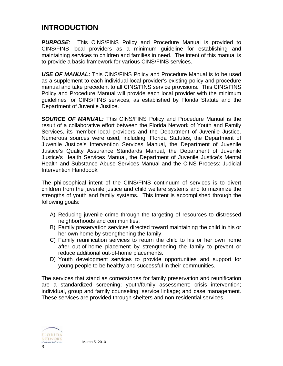# **INTRODUCTION**

*PURPOSE*: This CINS/FINS Policy and Procedure Manual is provided to CINS/FINS local providers as a minimum guideline for establishing and maintaining services to children and families in need. The intent of this manual is to provide a basic framework for various CINS/FINS services.

*USE OF MANUAL:* This CINS/FINS Policy and Procedure Manual is to be used as a supplement to each individual local provider's existing policy and procedure manual and take precedent to all CINS/FINS service provisions. This CINS/FINS Policy and Procedure Manual will provide each local provider with the minimum guidelines for CINS/FINS services, as established by Florida Statute and the Department of Juvenile Justice.

**SOURCE OF MANUAL:** This CINS/FINS Policy and Procedure Manual is the result of a collaborative effort between the Florida Network of Youth and Family Services, its member local providers and the Department of Juvenile Justice. Numerous sources were used, including: Florida Statutes, the Department of Juvenile Justice's Intervention Services Manual, the Department of Juvenile Justice's Quality Assurance Standards Manual, the Department of Juvenile Justice's Health Services Manual, the Department of Juvenile Justice's Mental Health and Substance Abuse Services Manual and the CINS Process: Judicial Intervention Handbook*.* 

The philosophical intent of the CINS/FINS continuum of services is to divert children from the juvenile justice and child welfare systems and to maximize the strengths of youth and family systems. This intent is accomplished through the following goals:

- A) Reducing juvenile crime through the targeting of resources to distressed neighborhoods and communities;
- B) Family preservation services directed toward maintaining the child in his or her own home by strengthening the family;
- C) Family reunification services to return the child to his or her own home after out-of-home placement by strengthening the family to prevent or reduce additional out-of-home placements.
- D) Youth development services to provide opportunities and support for young people to be healthy and successful in their communities.

The services that stand as cornerstones for family preservation and reunification are a standardized screening; youth/family assessment; crisis intervention; individual, group and family counseling; service linkage; and case management. These services are provided through shelters and non-residential services.

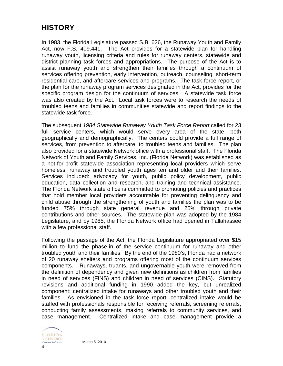# **HISTORY**

In 1983, the Florida Legislature passed S.B. 626, the Runaway Youth and Family Act, now F.S. 409.441. The Act provides for a statewide plan for handling runaway youth, licensing criteria and rules for runaway centers, statewide and district planning task forces and appropriations. The purpose of the Act is to assist runaway youth and strengthen their families through a continuum of services offering prevention, early intervention, outreach, counseling, short-term residential care, and aftercare services and programs. The task force report, or the plan for the runaway program services designated in the Act, provides for the specific program design for the continuum of services. A statewide task force was also created by the Act. Local task forces were to research the needs of troubled teens and families in communities statewide and report findings to the statewide task force.

The subsequent *1984 Statewide Runaway Youth Task Force Report* called for 23 full service centers, which would serve every area of the state, both geographically and demographically. The centers could provide a full range of services, from prevention to aftercare, to troubled teens and families. The plan also provided for a statewide Network office with a professional staff. The Florida Network of Youth and Family Services, Inc. (Florida Network) was established as a not-for-profit statewide association representing local providers which serve homeless, runaway and troubled youth ages ten and older and their families. Services included: advocacy for youth, public policy development, public education, data collection and research, and training and technical assistance. The Florida Network state office is committed to promoting policies and practices that hold member local providers accountable for preventing delinquency and child abuse through the strengthening of youth and families the plan was to be funded 75% through state general revenue and 25% through private contributions and other sources. The statewide plan was adopted by the 1984 Legislature, and by 1985, the Florida Network office had opened in Tallahassee with a few professional staff.

Following the passage of the Act, the Florida Legislature appropriated over \$15 million to fund the phase-in of the service continuum for runaway and other troubled youth and their families. By the end of the 1980's, Florida had a network of 20 runaway shelters and programs offering most of the continuum services components. Runaways, truants, and ungovernable youth were removed from the definition of dependency and given new definitions as children from families in need of services (FINS) and children in need of services (CINS). Statutory revisions and additional funding in 1990 added the key, but unrealized component: centralized intake for runaways and other troubled youth and their families. As envisioned in the task force report, centralized intake would be staffed with professionals responsible for receiving referrals, screening referrals, conducting family assessments, making referrals to community services, and case management. Centralized intake and case management provide a

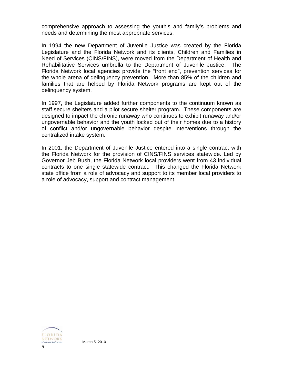comprehensive approach to assessing the youth's and family's problems and needs and determining the most appropriate services.

In 1994 the new Department of Juvenile Justice was created by the Florida Legislature and the Florida Network and its clients, Children and Families in Need of Services (CINS/FINS), were moved from the Department of Health and Rehabilitative Services umbrella to the Department of Juvenile Justice. The Florida Network local agencies provide the "front end", prevention services for the whole arena of delinquency prevention. More than 85% of the children and families that are helped by Florida Network programs are kept out of the delinquency system.

In 1997, the Legislature added further components to the continuum known as staff secure shelters and a pilot secure shelter program. These components are designed to impact the chronic runaway who continues to exhibit runaway and/or ungovernable behavior and the youth locked out of their homes due to a history of conflict and/or ungovernable behavior despite interventions through the centralized intake system.

In 2001, the Department of Juvenile Justice entered into a single contract with the Florida Network for the provision of CINS/FINS services statewide. Led by Governor Jeb Bush, the Florida Network local providers went from 43 individual contracts to one single statewide contract. This changed the Florida Network state office from a role of advocacy and support to its member local providers to a role of advocacy, support and contract management.

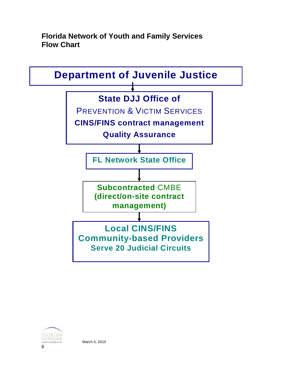**Florida Network of Youth and Family Services Flow Chart** 



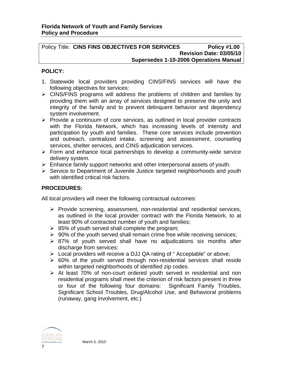# Policy Title: **CINS FINS OBJECTIVES FOR SERVICES** Policy #1.00  **Revision Date: 03/05/10 Supersedes 1-10-2006 Operations Manual**

# **POLICY:**

- 1. Statewide local providers providing CINS/FINS services will have the following objectives for services:
- $\triangleright$  CINS/FINS programs will address the problems of children and families by providing them with an array of services designed to preserve the unity and integrity of the family and to prevent delinquent behavior and dependency system involvement.
- $\triangleright$  Provide a continuum of core services, as outlined in local provider contracts with the Florida Network, which has increasing levels of intensity and participation by youth and families. These core services include prevention and outreach, centralized intake, screening and assessment, counseling services, shelter services, and CINS adjudication services.
- $\triangleright$  Form and enhance local partnerships to develop a community-wide service delivery system.
- $\triangleright$  Enhance family support networks and other interpersonal assets of youth.
- ¾ Service to Department of Juvenile Justice targeted neighborhoods and youth with identified critical risk factors.

# **PROCEDURES:**

All local providers will meet the following contractual outcomes:

- $\triangleright$  Provide screening, assessment, non-residential and residential services, as outlined in the local provider contract with the Florida Network, to at least 90% of contracted number of youth and families;
- $\geq$  85% of youth served shall complete the program;
- $\geq 90\%$  of the youth served shall remain crime free while receiving services;
- $\geq$  87% of youth served shall have no adjudications six months after discharge from services:
- ¾ Local providers will receive a DJJ QA rating of " Acceptable" or above;
- $\geq$  60% of the youth served through non-residential services shall reside within targeted neighborhoods of identified zip codes.
- ¾ At least 70% of non-court ordered youth served in residential and non residential programs shall meet the criterion of risk factors present in three or four of the following four domains: Significant Family Troubles, Significant School Troubles, Drug/Alcohol Use, and Behavioral problems (runaway, gang involvement, etc.)

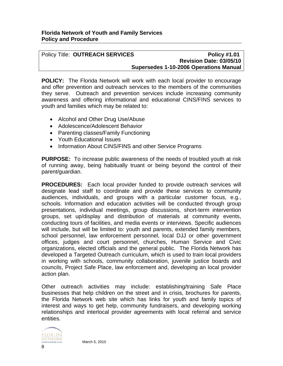# Policy Title: **OUTREACH SERVICES** Policy #1.01 **Revision Date: 03/05/10 Supersedes 1-10-2006 Operations Manual**

**POLICY:** The Florida Network will work with each local provider to encourage and offer prevention and outreach services to the members of the communities they serve. Outreach and prevention services include increasing community awareness and offering informational and educational CINS/FINS services to youth and families which may be related to:

- Alcohol and Other Drug Use/Abuse
- Adolescence/Adolescent Behavior
- Parenting classes/Family Functioning
- Youth Educational Issues
- Information About CINS/FINS and other Service Programs

**PURPOSE:** To increase public awareness of the needs of troubled youth at risk of running away, being habitually truant or being beyond the control of their parent/guardian.

**PROCEDURES:** Each local provider funded to provide outreach services will designate lead staff to coordinate and provide these services to community audiences, individuals, and groups with a particular customer focus, e.g., schools. Information and education activities will be conducted through group presentations, individual meetings, group discussions, short-term intervention groups, set up/display and distribution of materials at community events, conducting tours of facilities, and media events or interviews. Specific audiences will include, but will be limited to: youth and parents, extended family members, school personnel, law enforcement personnel, local DJJ or other government offices, judges and court personnel, churches, Human Service and Civic organizations, elected officials and the general public. The Florida Network has developed a Targeted Outreach curriculum, which is used to train local providers in working with schools, community collaboration, juvenile justice boards and councils, Project Safe Place, law enforcement and, developing an local provider action plan.

Other outreach activities may include: establishing/training Safe Place businesses that help children on the street and in crisis, brochures for parents, the Florida Network web site which has links for youth and family topics of interest and ways to get help, community fundraisers, and developing working relationships and interlocal provider agreements with local referral and service entities.

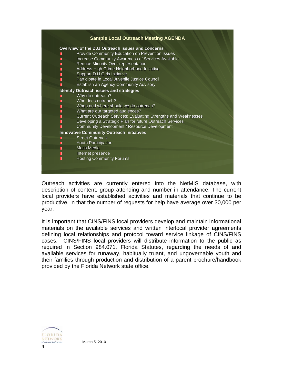| <b>Sample Local Outreach Meeting AGENDA</b>      |                                                                |  |  |
|--------------------------------------------------|----------------------------------------------------------------|--|--|
| Overview of the DJJ Outreach issues and concerns |                                                                |  |  |
| ш                                                | Provide Community Education on Prevention Issues               |  |  |
| п                                                | Increase Community Awareness of Services Available             |  |  |
| п                                                | Reduce Minority Over-representation                            |  |  |
| п                                                | Address High Crime Neighborhood Initiative                     |  |  |
| п                                                | Support DJJ Girls Initiative                                   |  |  |
| п                                                | Participate in Local Juvenile Justice Council                  |  |  |
| $\blacksquare$                                   | Establish an Agency Community Advisory                         |  |  |
| <b>Identify Outreach issues and strategies</b>   |                                                                |  |  |
| п                                                | Why do outreach?                                               |  |  |
| п                                                | Who does outreach?                                             |  |  |
| п                                                | When and where should we do outreach?                          |  |  |
| п                                                | What are our targeted audiences?                               |  |  |
| п                                                | Current Outreach Services: Evaluating Strengths and Weaknesses |  |  |
| п                                                | Developing a Strategic Plan for future Outreach Services       |  |  |
| п                                                | Community Development / Resource Development                   |  |  |
| <b>Innovative Community Outreach Initiatives</b> |                                                                |  |  |
| п                                                | <b>Street Outreach</b>                                         |  |  |
| п                                                | <b>Youth Participation</b>                                     |  |  |
| п                                                | Mass Media                                                     |  |  |
| п                                                | Internet presence                                              |  |  |
| п                                                | <b>Hosting Community Forums</b>                                |  |  |
|                                                  |                                                                |  |  |
|                                                  |                                                                |  |  |
|                                                  |                                                                |  |  |

Outreach activities are currently entered into the NetMIS database, with description of content, group attending and number in attendance. The current local providers have established activities and materials that continue to be productive, in that the number of requests for help have average over 30,000 per year.

It is important that CINS/FINS local providers develop and maintain informational materials on the available services and written interlocal provider agreements defining local relationships and protocol toward service linkage of CINS/FINS cases. CINS/FINS local providers will distribute information to the public as required in Section 984.071, Florida Statutes, regarding the needs of and available services for runaway, habitually truant, and ungovernable youth and their families through production and distribution of a parent brochure/handbook provided by the Florida Network state office.

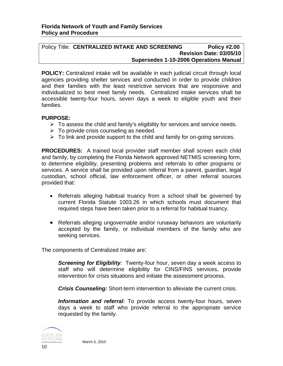#### Policy Title: **CENTRALIZED INTAKE AND SCREENING** Policy #2.00 **Revision Date: 03/05/10 Supersedes 1-10-2006 Operations Manual**

**POLICY:** Centralized intake will be available in each judicial circuit through local agencies providing shelter services and conducted in order to provide children and their families with the least restrictive services that are responsive and individualized to best meet family needs. Centralized intake services shall be accessible twenty-four hours, seven days a week to eligible youth and their families.

# **PURPOSE:**

- $\triangleright$  To assess the child and family's eligibility for services and service needs.
- $\triangleright$  To provide crisis counseling as needed.
- $\triangleright$  To link and provide support to the child and family for on-going services.

**PROCEDURES:** A trained local provider staff member shall screen each child and family, by completing the Florida Network approved NETMIS screening form, to determine eligibility, presenting problems and referrals to other programs or services. A service shall be provided upon referral from a parent, guardian, legal custodian, school official, law enforcement officer, or other referral sources provided that:

- Referrals alleging habitual truancy from a school shall be governed by current Florida Statute 1003.26 in which schools must document that required steps have been taken prior to a referral for habitual truancy.
- Referrals alleging ungovernable and/or runaway behaviors are voluntarily accepted by the family, or individual members of the family who are seeking services.

The components of Centralized Intake are:

**Screening for Eligibility**: Twenty-four hour, seven day a week access to staff who will determine eligibility for CINS/FINS services, provide intervention for crisis situations and initiate the assessment process.

*Crisis Counseling:* Short-term intervention to alleviate the current crisis.

*Information and referral:* To provide access twenty-four hours, seven days a week to staff who provide referral to the appropriate service requested by the family.

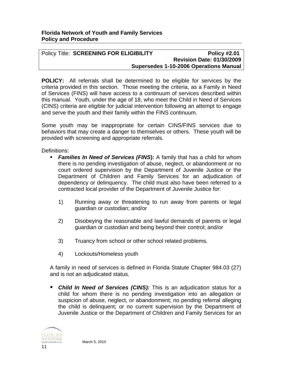# Policy Title: **SCREENING FOR ELIGIBILITY** Policy #2.01 **Revision Date: 01/30/2009 Supersedes 1-10-2006 Operations Manual**

**POLICY:** All referrals shall be determined to be eligible for services by the criteria provided in this section. Those meeting the criteria, as a Family in Need of Services (FINS) will have access to a continuum of services described within this manual. Youth, under the age of 18, who meet the Child in Need of Services (CINS) criteria are eligible for judicial intervention following an attempt to engage and serve the youth and their family within the FINS continuum.

Some youth may be inappropriate for certain CINS/FINS services due to behaviors that may create a danger to themselves or others. These youth will be provided with screening and appropriate referrals.

Definitions:

- *Families In Need of Services (FINS***):** A family that has a child for whom there is no pending investigation of abuse, neglect, or abandonment or no court ordered supervision by the Department of Juvenile Justice or the Department of Children and Family Services for an adjudication of dependency or delinquency. The child must also have been referred to a contracted local provider of the Department of Juvenile Justice for:
	- 1) Running away or threatening to run away from parents or legal guardian or custodian; and/or
	- 2) Disobeying the reasonable and lawful demands of parents or legal guardian or custodian and being beyond their control; and/or
	- 3) Truancy from school or other school related problems*.*
	- 4) Lockouts/Homeless youth

A family in need of services is defined in Florida Statute Chapter 984.03 (27) and is not an adjudicated status.

 *Child In Need of Services (CINS):* This is an adjudication status for a child for whom there is no pending investigation into an allegation or suspicion of abuse, neglect, or abandonment; no pending referral alleging the child is delinquent; or no current supervision by the Department of Juvenile Justice or the Department of Children and Family Services for an

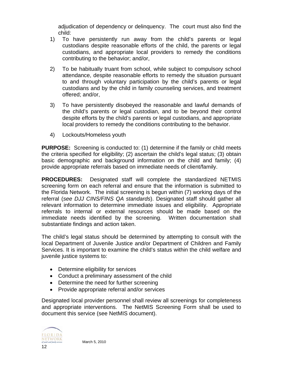adjudication of dependency or delinquency. The court must also find the child:

- 1) To have persistently run away from the child's parents or legal custodians despite reasonable efforts of the child, the parents or legal custodians, and appropriate local providers to remedy the conditions contributing to the behavior; and/or,
- 2) To be habitually truant from school, while subject to compulsory school attendance, despite reasonable efforts to remedy the situation pursuant to and through voluntary participation by the child's parents or legal custodians and by the child in family counseling services, and treatment offered; and/or,
- 3) To have persistently disobeyed the reasonable and lawful demands of the child's parents or legal custodian, and to be beyond their control despite efforts by the child's parents or legal custodians, and appropriate local providers to remedy the conditions contributing to the behavior.
- 4) Lockouts/Homeless youth

**PURPOSE:**Screening is conducted to: (1) determine if the family or child meets the criteria specified for eligibility; (2) ascertain the child's legal status; (3) obtain basic demographic and background information on the child and family; (4) provide appropriate referrals based on immediate needs of client/family.

**PROCEDURES:** Designated staff will complete the standardized NETMIS screening form on each referral and ensure that the information is submitted to the Florida Network. The initial screening is begun within (7) working days of the referral (*see DJJ CINS/FINS QA standards*). Designated staff should gather all relevant information to determine immediate issues and eligibility. Appropriate referrals to internal or external resources should be made based on the immediate needs identified by the screening. Written documentation shall substantiate findings and action taken.

The child's legal status should be determined by attempting to consult with the local Department of Juvenile Justice and/or Department of Children and Family Services. It is important to examine the child's status within the child welfare and juvenile justice systems to:

- Determine eligibility for services
- Conduct a preliminary assessment of the child
- Determine the need for further screening
- Provide appropriate referral and/or services

Designated local provider personnel shall review all screenings for completeness and appropriate interventions. The NetMIS Screening Form shall be used to document this service (see NetMIS document).

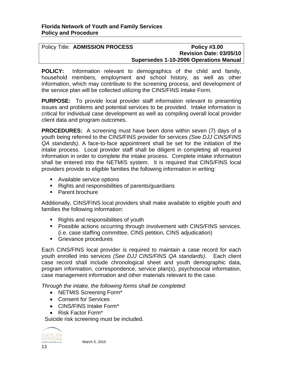# Policy Title: **ADMISSION PROCESS** Policy #3.00 **Revision Date: 03/05/10 Supersedes 1-10-2006 Operations Manual**

**POLICY:** Information relevant to demographics of the child and family, household members, employment and school history, as well as other information, which may contribute to the screening process, and development of the service plan will be collected utilizing the CINS/FINS Intake Form.

**PURPOSE:**To provide local provider staff information relevant to presenting issues and problems and potential services to be provided. Intake information is critical for individual case development as well as compiling overall local provider client data and program outcomes.

**PROCEDURES:** A screening must have been done within seven (7) days of a youth being referred to the CINS/FINS provider for services *(See DJJ CINS/FINS QA standards)*. A face-to-face appointment shall be set for the initiation of the intake process. Local provider staff shall be diligent in completing all required information in order to complete the intake process. Complete intake information shall be entered into the NETMIS system. It is required that CINS/FINS local providers provide to eligible families the following information in writing:

- **Available service options**
- Rights and responsibilities of parents/quardians
- Parent brochure

Additionally, CINS/FINS local providers shall make available to eligible youth and families the following information:

- Rights and responsibilities of youth
- **Possible actions occurring through involvement with CINS/FINS services.** (i.e. case staffing committee, CINS petition, CINS adjudication)
- **Grievance procedures**

Each CINS/FINS local provider is required to maintain a case record for each youth enrolled into services *(See DJJ CINS/FINS QA standards)*. Each client case record shall include chronological sheet and youth demographic data, program information, correspondence, service plan(s), psychosocial information, case management information and other materials relevant to the case.

*Through the intake, the following forms shall be completed:* 

- NETMIS Screening Form\*
- Consent for Services
- CINS/FINS Intake Form\*
- Risk Factor Form\*

Suicide risk screening must be included.

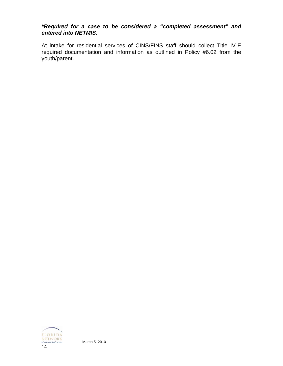# *\*Required for a case to be considered a "completed assessment" and entered into NETMIS.*

At intake for residential services of CINS/FINS staff should collect Title IV-E required documentation and information as outlined in Policy #6.02 from the youth/parent.

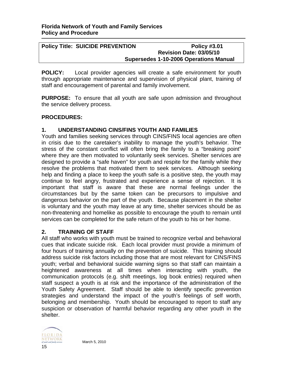| <b>Policy Title: SUICIDE PREVENTION</b> | <b>Policy #3.01</b>                           |
|-----------------------------------------|-----------------------------------------------|
|                                         | Revision Date: 03/05/10                       |
|                                         | <b>Supersedes 1-10-2006 Operations Manual</b> |

**POLICY:** Local provider agencies will create a safe environment for youth through appropriate maintenance and supervision of physical plant, training of staff and encouragement of parental and family involvement.

**PURPOSE:** To ensure that all youth are safe upon admission and throughout the service delivery process.

# **PROCEDURES:**

### **1. UNDERSTANDING CINS/FINS YOUTH AND FAMILIES**

Youth and families seeking services through CINS/FINS local agencies are often in crisis due to the caretaker's inability to manage the youth's behavior. The stress of the constant conflict will often bring the family to a "breaking point" where they are then motivated to voluntarily seek services. Shelter services are designed to provide a "safe haven" for youth and respite for the family while they resolve the problems that motivated them to seek services. Although seeking help and finding a place to keep the youth safe is a positive step, the youth may continue to feel angry, frustrated and experience a sense of rejection. It is important that staff is aware that these are normal feelings under the circumstances but by the same token can be precursors to impulsive and dangerous behavior on the part of the youth. Because placement in the shelter is voluntary and the youth may leave at any time, shelter services should be as non-threatening and homelike as possible to encourage the youth to remain until services can be completed for the safe return of the youth to his or her home.

### **2. TRAINING OF STAFF**

All staff who works with youth must be trained to recognize verbal and behavioral cues that indicate suicide risk. Each local provider must provide a minimum of four hours of training annually on the prevention of suicide. This training should address suicide risk factors including those that are most relevant for CINS/FINS youth; verbal and behavioral suicide warning signs so that staff can maintain a heightened awareness at all times when interacting with youth, the communication protocols (e.g. shift meetings, log book entries) required when staff suspect a youth is at risk and the importance of the administration of the Youth Safety Agreement. Staff should be able to identify specific prevention strategies and understand the impact of the youth's feelings of self worth, belonging and membership. Youth should be encouraged to report to staff any suspicion or observation of harmful behavior regarding any other youth in the shelter.

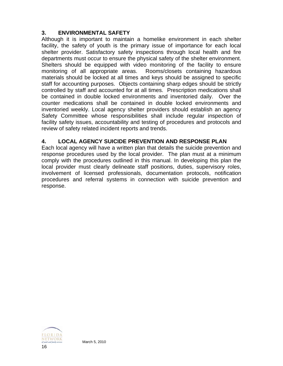# **3. ENVIRONMENTAL SAFETY**

Although it is important to maintain a homelike environment in each shelter facility, the safety of youth is the primary issue of importance for each local shelter provider. Satisfactory safety inspections through local health and fire departments must occur to ensure the physical safety of the shelter environment. Shelters should be equipped with video monitoring of the facility to ensure monitoring of all appropriate areas. Rooms/closets containing hazardous materials should be locked at all times and keys should be assigned to specific staff for accounting purposes. Objects containing sharp edges should be strictly controlled by staff and accounted for at all times. Prescription medications shall be contained in double locked environments and inventoried daily. Over the counter medications shall be contained in double locked environments and inventoried weekly. Local agency shelter providers should establish an agency Safety Committee whose responsibilities shall include regular inspection of facility safety issues, accountability and testing of procedures and protocols and review of safety related incident reports and trends.

# **4. LOCAL AGENCY SUICIDE PREVENTION AND RESPONSE PLAN**

Each local agency will have a written plan that details the suicide prevention and response procedures used by the local provider. The plan must at a minimum comply with the procedures outlined in this manual. In developing this plan the local provider must clearly delineate staff positions, duties, supervisory roles, involvement of licensed professionals, documentation protocols, notification procedures and referral systems in connection with suicide prevention and response.

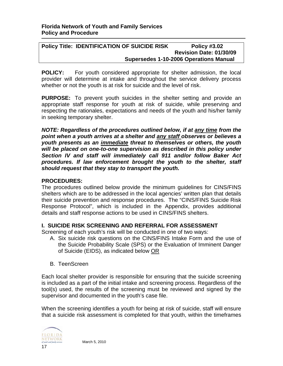# Policy Title: IDENTIFICATION OF SUICIDE RISK Policy #3.02  **Revision Date: 01/30/09 Supersedes 1-10-2006 Operations Manual**

**POLICY:** For youth considered appropriate for shelter admission, the local provider will determine at intake and throughout the service delivery process whether or not the youth is at risk for suicide and the level of risk.

**PURPOSE:** To prevent youth suicides in the shelter setting and provide an appropriate staff response for youth at risk of suicide, while preserving and respecting the rationales, expectations and needs of the youth and his/her family in seeking temporary shelter.

*NOTE: Regardless of the procedures outlined below, if at any time from the point when a youth arrives at a shelter and any staff observes or believes a youth presents as an immediate threat to themselves or others, the youth will be placed on one-to-one supervision as described in this policy under Section IV and staff will immediately call 911 and/or follow Baker Act procedures. If law enforcement brought the youth to the shelter, staff should request that they stay to transport the youth.* 

# **PROCEDURES:**

The procedures outlined below provide the minimum guidelines for CINS/FINS shelters which are to be addressed in the local agencies' written plan that details their suicide prevention and response procedures. The "CINS/FINS Suicide Risk Response Protocol", which is included in the Appendix, provides additional details and staff response actions to be used in CINS/FINS shelters.

# **I. SUICIDE RISK SCREENING AND REFERRAL FOR ASSESSMENT**

Screening of each youth's risk will be conducted in one of two ways:

- A. Six suicide risk questions on the CINS/FINS Intake Form and the use of the Suicide Probability Scale (SPS) or the Evaluation of Imminent Danger of Suicide (EIDS), as indicated below OR
- B. TeenScreen

Each local shelter provider is responsible for ensuring that the suicide screening is included as a part of the initial intake and screening process. Regardless of the tool(s) used, the results of the screening must be reviewed and signed by the supervisor and documented in the youth's case file.

When the screening identifies a youth for being at risk of suicide, staff will ensure that a suicide risk assessment is completed for that youth, within the timeframes

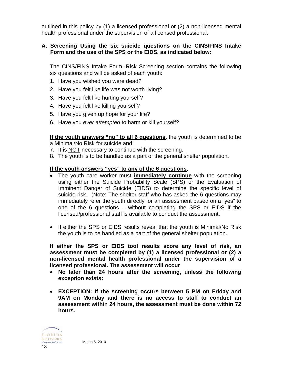outlined in this policy by (1) a licensed professional or (2) a non-licensed mental health professional under the supervision of a licensed professional.

# **A. Screening Using the six suicide questions on the CINS/FINS Intake Form and the use of the SPS or the EIDS, as indicated below:**

The CINS/FINS Intake Form--Risk Screening section contains the following six questions and will be asked of each youth:

- 1. Have you wished you were dead?
- 2. Have you felt like life was not worth living?
- 3. Have you felt like hurting yourself?
- 4. Have you felt like killing yourself?
- 5. Have you given up hope for your life?
- 6. Have you *ever attempted* to harm or kill yourself?

**If the youth answers "no" to all 6 questions**, the youth is determined to be a Minimal/No Risk for suicide and;

- 7. It is NOT necessary to continue with the screening.
- 8. The youth is to be handled as a part of the general shelter population.

### **If the youth answers "yes" to any of the 6 questions**,

- The youth care worker must **immediately continue** with the screening using either the Suicide Probability Scale (SPS) or the Evaluation of Imminent Danger of Suicide (EIDS) to determine the specific level of suicide risk. (Note: The shelter staff who has asked the 6 questions may immediately refer the youth directly for an assessment based on a "yes" to one of the 6 questions – without completing the SPS or EIDS if the licensed/professional staff is available to conduct the assessment.
- If either the SPS or EIDS results reveal that the youth is Minimal/No Risk the youth is to be handled as a part of the general shelter population.

**If either the SPS or EIDS tool results score any level of risk, an assessment must be completed by (1) a licensed professional or (2) a non-licensed mental health professional under the supervision of a licensed professional. The assessment will occur** 

- **No later than 24 hours after the screening, unless the following exception exists:**
- **EXCEPTION: If the screening occurs between 5 PM on Friday and 9AM on Monday and there is no access to staff to conduct an assessment within 24 hours, the assessment must be done within 72 hours.**

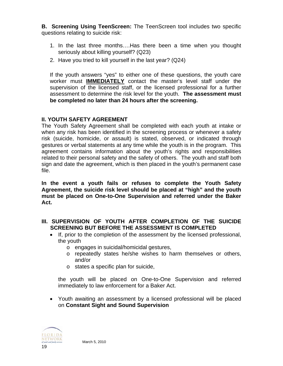**B. Screening Using TeenScreen:** The TeenScreen tool includes two specific questions relating to suicide risk:

- 1. In the last three months….Has there been a time when you thought seriously about killing yourself? (Q23)
- 2. Have you tried to kill yourself in the last year? (Q24)

If the youth answers "yes" to either one of these questions, the youth care worker must **IMMEDIATELY** contact the master's level staff under the supervision of the licensed staff, or the licensed professional for a further assessment to determine the risk level for the youth. **The assessment must be completed no later than 24 hours after the screening.**

# **II. YOUTH SAFETY AGREEMENT**

The Youth Safety Agreement shall be completed with each youth at intake or when any risk has been identified in the screening process or whenever a safety risk (suicide, homicide, or assault) is stated, observed, or indicated through gestures or verbal statements at any time while the youth is in the program. This agreement contains information about the youth's rights and responsibilities related to their personal safety and the safety of others. The youth and staff both sign and date the agreement, which is then placed in the youth's permanent case file.

**In the event a youth fails or refuses to complete the Youth Safety Agreement, the suicide risk level should be placed at "high" and the youth must be placed on One-to-One Supervision and referred under the Baker Act.** 

### **III. SUPERVISION OF YOUTH AFTER COMPLETION OF THE SUICIDE SCREENING BUT BEFORE THE ASSESSMENT IS COMPLETED**

- If, prior to the completion of the assessment by the licensed professional, the youth
	- o engages in suicidal/homicidal gestures,
	- o repeatedly states he/she wishes to harm themselves or others, and/or
	- o states a specific plan for suicide,

the youth will be placed on One-to-One Supervision and referred immediately to law enforcement for a Baker Act.

• Youth awaiting an assessment by a licensed professional will be placed on **Constant Sight and Sound Supervision**

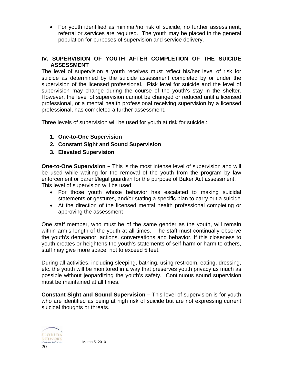• For youth identified as minimal/no risk of suicide, no further assessment, referral or services are required. The youth may be placed in the general population for purposes of supervision and service delivery.

# **IV. SUPERVISION OF YOUTH AFTER COMPLETION OF THE SUICIDE ASSESSMENT**

The level of supervision a youth receives must reflect his/her level of risk for suicide as determined by the suicide assessment completed by or under the supervision of the licensed professional. Risk level for suicide and the level of supervision may change during the course of the youth's stay in the shelter. However, the level of supervision cannot be changed or reduced until a licensed professional, or a mental health professional receiving supervision by a licensed professional, has completed a further assessment.

Three levels of supervision will be used for youth at risk for suicide.:

- **1. One-to-One Supervision**
- **2. Constant Sight and Sound Supervision**
- **3. Elevated Supervision**

**One-to-One Supervision –** This is the most intense level of supervision and will be used while waiting for the removal of the youth from the program by law enforcement or parent/legal guardian for the purpose of Baker Act assessment. This level of supervision will be used;

- For those youth whose behavior has escalated to making suicidal statements or gestures, and/or stating a specific plan to carry out a suicide
- At the direction of the licensed mental health professional completing or approving the assessment

One staff member, who must be of the same gender as the youth, will remain within arm's length of the youth at all times. The staff must continually observe the youth's demeanor, actions, conversations and behavior. If this closeness to youth creates or heightens the youth's statements of self-harm or harm to others, staff may give more space, not to exceed 5 feet.

During all activities, including sleeping, bathing, using restroom, eating, dressing, etc. the youth will be monitored in a way that preserves youth privacy as much as possible without jeopardizing the youth's safety. Continuous sound supervision must be maintained at all times.

**Constant Sight and Sound Supervision –** This level of supervision is for youth who are identified as being at high risk of suicide but are not expressing current suicidal thoughts or threats.

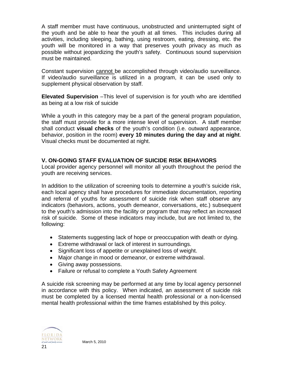A staff member must have continuous, unobstructed and uninterrupted sight of the youth and be able to hear the youth at all times. This includes during all activities, including sleeping, bathing, using restroom, eating, dressing, etc. the youth will be monitored in a way that preserves youth privacy as much as possible without jeopardizing the youth's safety. Continuous sound supervision must be maintained.

Constant supervision cannot be accomplished through video/audio surveillance. If video/audio surveillance is utilized in a program, it can be used only to supplement physical observation by staff.

**Elevated Supervision** –This level of supervision is for youth who are identified as being at a low risk of suicide

While a youth in this category may be a part of the general program population, the staff must provide for a more intense level of supervision. A staff member shall conduct **visual checks** of the youth's condition (i.e. outward appearance, behavior, position in the room) **every 10 minutes during the day and at night**. Visual checks must be documented at night.

# **V. ON-GOING STAFF EVALUATION OF SUICIDE RISK BEHAVIORS**

Local provider agency personnel will monitor all youth throughout the period the youth are receiving services.

In addition to the utilization of screening tools to determine a youth's suicide risk, each local agency shall have procedures for immediate documentation, reporting and referral of youths for assessment of suicide risk when staff observe any indicators (behaviors, actions, youth demeanor, conversations, etc.) subsequent to the youth's admission into the facility or program that may reflect an increased risk of suicide. Some of these indicators may include, but are not limited to, the following:

- Statements suggesting lack of hope or preoccupation with death or dying.
- Extreme withdrawal or lack of interest in surroundings.
- Significant loss of appetite or unexplained loss of weight.
- Major change in mood or demeanor, or extreme withdrawal.
- Giving away possessions.
- Failure or refusal to complete a Youth Safety Agreement

A suicide risk screening may be performed at any time by local agency personnel in accordance with this policy. When indicated, an assessment of suicide risk must be completed by a licensed mental health professional or a non-licensed mental health professional within the time frames established by this policy.

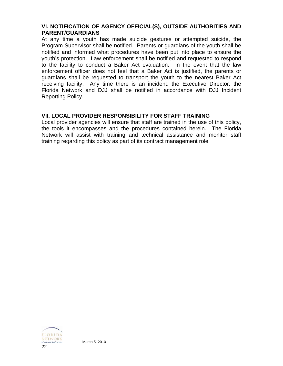# **VI. NOTIFICATION OF AGENCY OFFICIAL(S), OUTSIDE AUTHORITIES AND PARENT/GUARDIANS**

At any time a youth has made suicide gestures or attempted suicide, the Program Supervisor shall be notified. Parents or guardians of the youth shall be notified and informed what procedures have been put into place to ensure the youth's protection. Law enforcement shall be notified and requested to respond to the facility to conduct a Baker Act evaluation. In the event that the law enforcement officer does not feel that a Baker Act is justified, the parents or guardians shall be requested to transport the youth to the nearest Baker Act receiving facility. Any time there is an incident, the Executive Director, the Florida Network and DJJ shall be notified in accordance with DJJ Incident Reporting Policy.

# **VII. LOCAL PROVIDER RESPONSIBILITY FOR STAFF TRAINING**

Local provider agencies will ensure that staff are trained in the use of this policy, the tools it encompasses and the procedures contained herein. The Florida Network will assist with training and technical assistance and monitor staff training regarding this policy as part of its contract management role.

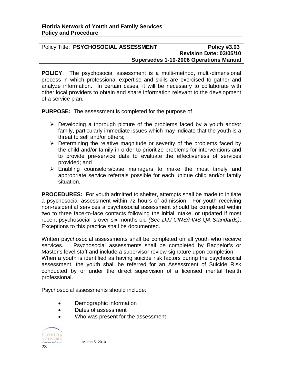# Policy Title: PSYCHOSOCIAL ASSESSMENT Policy #3.03 **Revision Date: 03/05/10 Supersedes 1-10-2006 Operations Manual**

**POLICY**:The psychosocial assessment is a multi-method, multi-dimensional process in which professional expertise and skills are exercised to gather and analyze information. In certain cases, it will be necessary to collaborate with other local providers to obtain and share information relevant to the development of a service plan.

**PURPOSE:**The assessment is completed for the purpose of

- $\triangleright$  Developing a thorough picture of the problems faced by a youth and/or family, particularly immediate issues which may indicate that the youth is a threat to self and/or others;
- $\triangleright$  Determining the relative magnitude or severity of the problems faced by the child and/or family in order to prioritize problems for interventions and to provide pre-service data to evaluate the effectiveness of services provided; and
- $\triangleright$  Enabling counselors/case managers to make the most timely and appropriate service referrals possible for each unique child and/or family situation.

**PROCEDURES:**For youth admitted to shelter, attempts shall be made to initiate a psychosocial assessment within 72 hours of admission. For youth receiving non-residential services a psychosocial assessment should be completed within two to three face-to-face contacts following the initial intake, or updated if most recent psychosocial is over six months old *(See DJJ CINS/FINS QA Standards)*. Exceptions to this practice shall be documented.

Written psychosocial assessments shall be completed on all youth who receive services. Psychosocial assessments shall be completed by Bachelor's or Master's level staff and include a supervisor review signature upon completion. When a youth is identified as having suicide risk factors during the psychosocial assessment, the youth shall be referred for an Assessment of Suicide Risk conducted by or under the direct supervision of a licensed mental health professional.

Psychosocial assessments should include:

- Demographic information
- Dates of assessment
- Who was present for the assessment

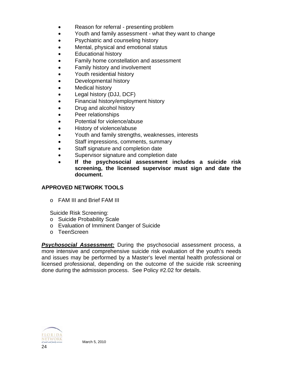- Reason for referral presenting problem
- Youth and family assessment what they want to change
- Psychiatric and counseling history
- Mental, physical and emotional status
- Educational history
- Family home constellation and assessment
- Family history and involvement
- Youth residential history
- Developmental history
- Medical history
- Legal history (DJJ, DCF)
- Financial history/employment history
- Drug and alcohol history
- Peer relationships
- Potential for violence/abuse
- History of violence/abuse
- Youth and family strengths, weaknesses, interests
- Staff impressions, comments, summary
- Staff signature and completion date
- Supervisor signature and completion date
- **If the psychosocial assessment includes a suicide risk screening, the licensed supervisor must sign and date the document.**

### **APPROVED NETWORK TOOLS**

o FAM III and Brief FAM III

Suicide Risk Screening:

- o Suicide Probability Scale
- o Evaluation of Imminent Danger of Suicide
- o TeenScreen

*Psychosocial Assessment:* During the psychosocial assessment process, a more intensive and comprehensive suicide risk evaluation of the youth's needs and issues may be performed by a Master's level mental health professional or licensed professional, depending on the outcome of the suicide risk screening done during the admission process. See Policy #2.02 for details.

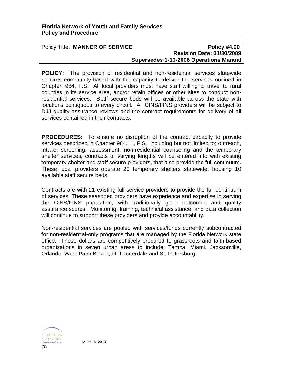# Policy Title: **MANNER OF SERVICE** Policy #4.00 **Revision Date: 01/30/2009 Supersedes 1-10-2006 Operations Manual**

**POLICY:** The provision of residential and non-residential services statewide requires community-based with the capacity to deliver the services outlined in Chapter, 984, F.S. All local providers must have staff willing to travel to rural counties in its service area, and/or retain offices or other sites to conduct nonresidential services. Staff secure beds will be available across the state with locations contiguous to every circuit. All CINS/FINS providers will be subject to DJJ quality assurance reviews and the contract requirements for delivery of all services contained in their contracts.

**PROCEDURES:** To ensure no disruption of the contract capacity to provide services described in Chapter 984.11, F.S., including but not limited to; outreach, intake, screening, assessment, non-residential counseling and the temporary shelter services, contracts of varying lengths will be entered into with existing temporary shelter and staff secure providers, that also provide the full continuum. These local providers operate 29 temporary shelters statewide, housing 10 available staff secure beds.

Contracts are with 21 existing full-service providers to provide the full continuum of services. These seasoned providers have experience and expertise in serving the CINS/FINS population, with traditionally good outcomes and quality assurance scores. Monitoring, training, technical assistance, and data collection will continue to support these providers and provide accountability.

Non-residential services are pooled with services/funds currently subcontracted for non-residential-only programs that are managed by the Florida Network state office. These dollars are competitively procured to grassroots and faith-based organizations in seven urban areas to include: Tampa, Miami, Jacksonville, Orlando, West Palm Beach, Ft. Lauderdale and St. Petersburg.

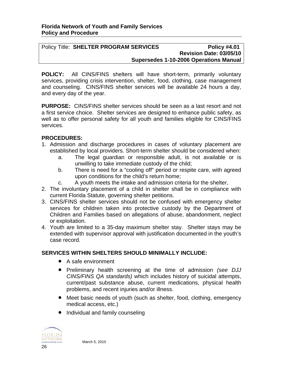# Policy Title: **SHELTER PROGRAM SERVICES** Policy #4.01 **Revision Date: 03/05/10 Supersedes 1-10-2006 Operations Manual**

**POLICY:** All CINS/FINS shelters will have short-term, primarily voluntary services, providing crisis intervention, shelter, food, clothing, case management and counseling. CINS/FINS shelter services will be available 24 hours a day, and every day of the year.

**PURPOSE:** CINS/FINS shelter services should be seen as a last resort and not a first service choice. Shelter services are designed to enhance public safety, as well as to offer personal safety for all youth and families eligible for CINS/FINS services.

# **PROCEDURES:**

- 1. Admission and discharge procedures in cases of voluntary placement are established by local providers. Short-term shelter should be considered when:
	- a. The legal guardian or responsible adult, is not available or is unwilling to take immediate custody of the child;
	- b. There is need for a "cooling off" period or respite care, with agreed upon conditions for the child's return home;
	- c. A youth meets the intake and admission criteria for the shelter,
- 2. The involuntary placement of a child in shelter shall be in compliance with current Florida Statute, governing shelter petitions.
- 3. CINS/FINS shelter services should not be confused with emergency shelter services for children taken into protective custody by the Department of Children and Families based on allegations of abuse, abandonment, neglect or exploitation.
- 4. Youth are limited to a 35-day maximum shelter stay. Shelter stays may be extended with supervisor approval with justification documented in the youth's case record.

# **SERVICES WITHIN SHELTERS SHOULD MINIMALLY INCLUDE:**

- A safe environment
- Preliminary health screening at the time of admission *(see DJJ CINS/FINS QA standards)* which includes history of suicidal attempts, current/past substance abuse, current medications, physical health problems, and recent injuries and/or illness.
- Meet basic needs of youth (such as shelter, food, clothing, emergency medical access, etc.)
- Individual and family counseling

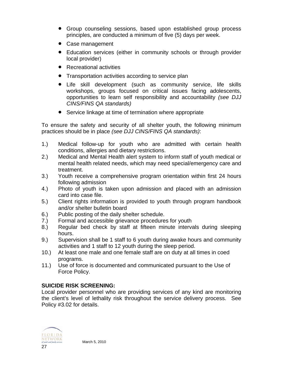- Group counseling sessions, based upon established group process principles, are conducted a minimum of five (5) days per week.
- Case management
- Education services (either in community schools or through provider local provider)
- Recreational activities
- Transportation activities according to service plan
- Life skill development (such as community service, life skills workshops, groups focused on critical issues facing adolescents, opportunities to learn self responsibility and accountability *(see DJJ CINS/FINS QA standards)*
- Service linkage at time of termination where appropriate

To ensure the safety and security of all shelter youth, the following minimum practices should be in place *(see DJJ CINS/FINS QA standards)*:

- 1.) Medical follow-up for youth who are admitted with certain health conditions, allergies and dietary restrictions.
- 2.) Medical and Mental Health alert system to inform staff of youth medical or mental health related needs, which may need special/emergency care and treatment.
- 3.) Youth receive a comprehensive program orientation within first 24 hours following admission
- 4.) Photo of youth is taken upon admission and placed with an admission card into case file.
- 5.) Client rights information is provided to youth through program handbook and/or shelter bulletin board
- 6.) Public posting of the daily shelter schedule.
- 7.) Formal and accessible grievance procedures for youth
- 8.) Regular bed check by staff at fifteen minute intervals during sleeping hours.
- 9.) Supervision shall be 1 staff to 6 youth during awake hours and community activities and 1 staff to 12 youth during the sleep period.
- 10.) At least one male and one female staff are on duty at all times in coed programs.
- 11.) Use of force is documented and communicated pursuant to the Use of Force Policy.

# **SUICIDE RISK SCREENING:**

Local provider personnel who are providing services of any kind are monitoring the client's level of lethality risk throughout the service delivery process. See Policy #3.02 for details.

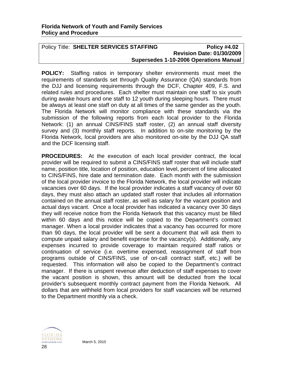# Policy Title: **SHELTER SERVICES STAFFING** Policy #4.02 **Revision Date: 01/30/2009 Supersedes 1-10-2006 Operations Manual**

**POLICY:** Staffing ratios in temporary shelter environments must meet the requirements of standards set through Quality Assurance (QA) standards from the DJJ and licensing requirements through the DCF, Chapter 409, F.S. and related rules and procedures. Each shelter must maintain one staff to six youth during awake hours and one staff to 12 youth during sleeping hours. There must be always at least one staff on duty at all times of the same gender as the youth. The Florida Network will monitor compliance with these standards via the submission of the following reports from each local provider to the Florida Network: (1) an annual CINS/FINS staff roster, (2) an annual staff diversity survey and (3) monthly staff reports. In addition to on-site monitoring by the Florida Network, local providers are also monitored on-site by the DJJ QA staff and the DCF licensing staff.

**PROCEDURES:** At the execution of each local provider contract, the local provider will be required to submit a CINS/FINS staff roster that will include staff name, position title, location of position, education level, percent of time allocated to CINS/FINS, hire date and termination date. Each month with the submission of the local provider invoice to the Florida Network, the local provider will indicate vacancies over 60 days. If the local provider indicates a staff vacancy of over 60 days, they must also attach an updated staff roster that includes all information contained on the annual staff roster, as well as salary for the vacant position and actual days vacant. Once a local provider has indicated a vacancy over 30 days they will receive notice from the Florida Network that this vacancy must be filled within 60 days and this notice will be copied to the Department's contract manager. When a local provider indicates that a vacancy has occurred for more than 90 days, the local provider will be sent a document that will ask them to compute unpaid salary and benefit expense for the vacancy(s). Additionally, any expenses incurred to provide coverage to maintain required staff ratios or continuation of service (i.e. overtime expensed, reassignment of staff from programs outside of CINS/FINS, use of on-call contract staff, etc.) will be requested. This information will also be copied to the Department's contract manager. If there is unspent revenue after deduction of staff expenses to cover the vacant position is shown, this amount will be deducted from the local provider's subsequent monthly contract payment from the Florida Network. All dollars that are withheld from local providers for staff vacancies will be returned to the Department monthly via a check.

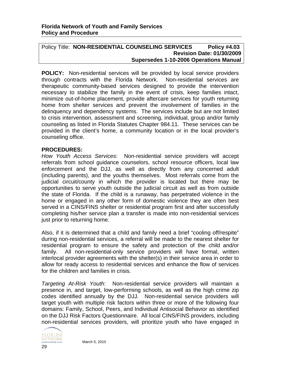### Policy Title: **NON-RESIDENTIAL COUNSELING SERVICES Policy #4.03 Revision Date: 01/30/2009 Supersedes 1-10-2006 Operations Manual**

**POLICY:** Non-residential services will be provided by local service providers through contracts with the Florida Network. Non-residential services are therapeutic community-based services designed to provide the intervention necessary to stabilize the family in the event of crisis, keep families intact, minimize out-of-home placement, provide aftercare services for youth returning home from shelter services and prevent the involvement of families in the delinquency and dependency systems. The services include but are not limited to crisis intervention, assessment and screening, individual, group and/or family counseling as listed in Florida Statutes Chapter 984.11. These services can be provided in the client's home, a community location or in the local provider's counseling office.

# **PROCEDURES:**

*How Youth Access Services*: Non-residential service providers will accept referrals from school guidance counselors, school resource officers, local law enforcement and the DJJ, as well as directly from any concerned adult (including parents), and the youths themselves. Most referrals come from the judicial circuit/county in which the provider is located but there may be opportunities to serve youth outside the judicial circuit as well as from outside the state of Florida. If the child is a runaway, has perpetrated violence in the home or engaged in any other form of domestic violence they are often best served in a CINS/FINS shelter or residential program first and after successfully completing his/her service plan a transfer is made into non-residential services just prior to returning home.

Also, if it is determined that a child and family need a brief "cooling off/respite" during non-residential services, a referral will be made to the nearest shelter for residential program to ensure the safety and protection of the child and/or family. All non-residential-only service providers will have formal, written interlocal provider agreements with the shelter(s) in their service area in order to allow for ready access to residential services and enhance the flow of services for the children and families in crisis.

*Targeting At-Risk Youth*: Non-residential service providers will maintain a presence in, and target, low-performing schools, as well as the high crime zip codes identified annually by the DJJ. Non-residential service providers will target youth with multiple risk factors within three or more of the following four domains: Family, School, Peers, and Individual Antisocial Behavior as identified on the DJJ Risk Factors Questionnaire. All local CINS/FINS providers, including non-residential services providers, will prioritize youth who have engaged in

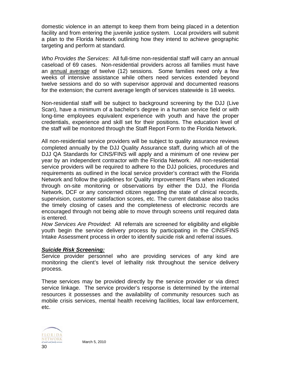domestic violence in an attempt to keep them from being placed in a detention facility and from entering the juvenile justice system. Local providers will submit a plan to the Florida Network outlining how they intend to achieve geographic targeting and perform at standard.

*Who Provides the Services*: All full-time non-residential staff will carry an annual caseload of 69 cases. Non-residential providers across all families must have an annual average of twelve (12) sessions. Some families need only a few weeks of intensive assistance while others need services extended beyond twelve sessions and do so with supervisor approval and documented reasons for the extension; the current average length of services statewide is 18 weeks.

Non-residential staff will be subject to background screening by the DJJ (Live Scan), have a minimum of a bachelor's degree in a human service field or with long-time employees equivalent experience with youth and have the proper credentials, experience and skill set for their positions. The education level of the staff will be monitored through the Staff Report Form to the Florida Network.

All non-residential service providers will be subject to quality assurance reviews completed annually by the DJJ Quality Assurance staff, during which all of the DJJ QA Standards for CINS/FINS will apply and a minimum of one review per year by an independent contractor with the Florida Network. All non-residential service providers will be required to adhere to the DJJ policies, procedures and requirements as outlined in the local service provider's contract with the Florida Network and follow the guidelines for Quality Improvement Plans when indicated through on-site monitoring or observations by either the DJJ, the Florida Network, DCF or any concerned citizen regarding the state of clinical records, supervision, customer satisfaction scores, etc. The current database also tracks the timely closing of cases and the completeness of electronic records are encouraged through not being able to move through screens until required data is entered.

*How Services Are Provided*: All referrals are screened for eligibility and eligible youth begin the service delivery process by participating in the CINS/FINS Intake Assessment process in order to identify suicide risk and referral issues.

# *Suicide Risk Screening:*

Service provider personnel who are providing services of any kind are monitoring the client's level of lethality risk throughout the service delivery process.

These services may be provided directly by the service provider or via direct service linkage. The service provider's response is determined by the internal resources it possesses and the availability of community resources such as mobile crisis services, mental health receiving facilities, local law enforcement, etc.

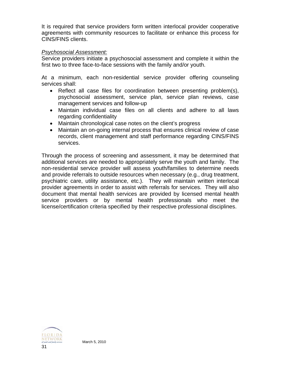It is required that service providers form written interlocal provider cooperative agreements with community resources to facilitate or enhance this process for CINS/FINS clients.

# *Psychosocial Assessment:*

Service providers initiate a psychosocial assessment and complete it within the first two to three face-to-face sessions with the family and/or youth.

At a minimum, each non-residential service provider offering counseling services shall:

- Reflect all case files for coordination between presenting problem(s), psychosocial assessment, service plan, service plan reviews, case management services and follow-up
- Maintain individual case files on all clients and adhere to all laws regarding confidentiality
- Maintain chronological case notes on the client's progress
- Maintain an on-going internal process that ensures clinical review of case records, client management and staff performance regarding CINS/FINS services.

Through the process of screening and assessment, it may be determined that additional services are needed to appropriately serve the youth and family. The non-residential service provider will assess youth/families to determine needs and provide referrals to outside resources when necessary (e.g., drug treatment, psychiatric care, utility assistance, etc.). They will maintain written interlocal provider agreements in order to assist with referrals for services. They will also document that mental health services are provided by licensed mental health service providers or by mental health professionals who meet the license/certification criteria specified by their respective professional disciplines.

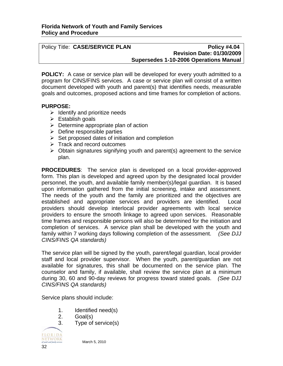#### Policy Title: CASE/SERVICE PLAN **Policy #4.04**

# **Revision Date: 01/30/2009 Supersedes 1-10-2006 Operations Manual**

**POLICY:** A case or service plan will be developed for every youth admitted to a program for CINS/FINS services. A case or service plan will consist of a written document developed with youth and parent(s) that identifies needs, measurable goals and outcomes, proposed actions and time frames for completion of actions.

### **PURPOSE:**

- $\blacktriangleright$  Identify and prioritize needs
- $\triangleright$  Establish goals
- $\triangleright$  Determine appropriate plan of action
- $\triangleright$  Define responsible parties
- $\triangleright$  Set proposed dates of initiation and completion
- $\triangleright$  Track and record outcomes
- $\triangleright$  Obtain signatures signifying youth and parent(s) agreement to the service plan.

**PROCEDURES**:The service plan is developed on a local provider-approved form. This plan is developed and agreed upon by the designated local provider personnel, the youth, and available family member(s)/legal guardian. It is based upon information gathered from the initial screening, intake and assessment. The needs of the youth and the family are prioritized and the objectives are established and appropriate services and providers are identified. Local providers should develop interlocal provider agreements with local service providers to ensure the smooth linkage to agreed upon services. Reasonable time frames and responsible persons will also be determined for the initiation and completion of services. A service plan shall be developed with the youth and family within 7 working days following completion of the assessment. *(See DJJ CINS/FINS QA standards)* 

The service plan will be signed by the youth, parent/legal guardian, local provider staff and local provider supervisor. When the youth, parent/guardian are not available for signatures, this shall be documented on the service plan. The counselor and family, if available, shall review the service plan at a minimum during 30, 60 and 90-day reviews for progress toward stated goals. *(See DJJ CINS/FINS QA standards)* 

Service plans should include:

- 1. Identified need(s)
- 2. Goal(s)
- 3. Type of service(s)

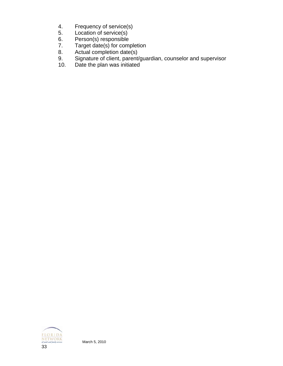- 4. Frequency of service(s)<br>5. Location of service(s)
- 5. Location of service(s)<br>6. Person(s) responsible
- Person(s) responsible
- 7. Target date(s) for completion<br>8. Actual completion date(s)
- 8. Actual completion date(s)<br>9. Signature of client, parent/
- 9. Signature of client, parent/guardian, counselor and supervisor<br>10. Date the plan was initiated
- Date the plan was initiated

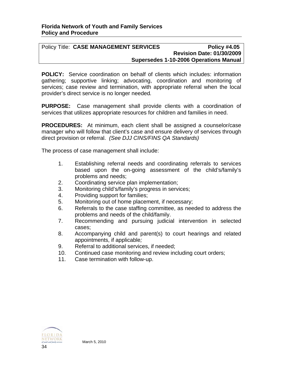# Policy Title: CASE MANAGEMENT SERVICES Policy #4.05 **Revision Date: 01/30/2009 Supersedes 1-10-2006 Operations Manual**

**POLICY:**Service coordination on behalf of clients which includes: information gathering; supportive linking; advocating, coordination and monitoring of services; case review and termination, with appropriate referral when the local provider's direct service is no longer needed*.* 

**PURPOSE:** Case management shall provide clients with a coordination of services that utilizes appropriate resources for children and families in need.

**PROCEDURES:**At minimum, each client shall be assigned a counselor/case manager who will follow that client's case and ensure delivery of services through direct provision or referral. *(See DJJ CINS/FINS QA Standards)*

The process of case management shall include:

- 1. Establishing referral needs and coordinating referrals to services based upon the on-going assessment of the child's/family's problems and needs;
- 2. Coordinating service plan implementation;
- 3. Monitoring child's/family's progress in services;
- 4. Providing support for families;
- 5. Monitoring out of home placement, if necessary;
- 6. Referrals to the case staffing committee, as needed to address the problems and needs of the child/family.
- 7. Recommending and pursuing judicial intervention in selected cases;
- 8. Accompanying child and parent(s) to court hearings and related appointments, if applicable*;*
- 9. Referral to additional services, if needed;
- 10. Continued case monitoring and review including court orders;
- 11. Case termination with follow-up.

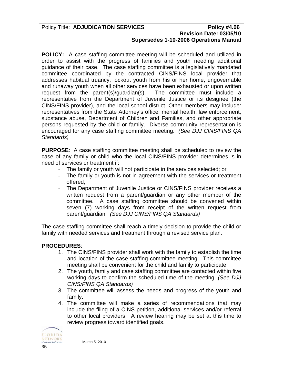# Policy Title: ADJUDICATION SERVICES **Policy #4.06**

# **Revision Date: 03/05/10 Supersedes 1-10-2006 Operations Manual**

**POLICY:** A case staffing committee meeting will be scheduled and utilized in order to assist with the progress of families and youth needing additional guidance of their case. The case staffing committee is a legislatively mandated committee coordinated by the contracted CINS/FINS local provider that addresses habitual truancy, lockout youth from his or her home, ungovernable and runaway youth when all other services have been exhausted or upon written request from the parent(s)/guardian(s). The committee must include a request from the parent(s)/quardian(s). representative from the Department of Juvenile Justice or its designee (the CINS/FINS provider), and the local school district. Other members may include: representatives from the State Attorney's office, mental health, law enforcement, substance abuse, Department of Children and Families, and other appropriate persons requested by the child or family. Diverse community representation is encouraged for any case staffing committee meeting. *(See DJJ CINS/FINS QA Standards)*

**PURPOSE**: A case staffing committee meeting shall be scheduled to review the case of any family or child who the local CINS/FINS provider determines is in need of services or treatment if:

- The family or youth will not participate in the services selected; or
- The family or youth is not in agreement with the services or treatment offered,
- The Department of Juvenile Justice or CINS/FINS provider receives a written request from a parent/guardian or any other member of the committee. A case staffing committee should be convened within seven (7) working days from receipt of the written request from parent/guardian. *(See DJJ CINS/FINS QA Standards)*

The case staffing committee shall reach a timely decision to provide the child or family with needed services and treatment through a revised service plan.

# **PROCEDURES**:

- 1. The CINS/FINS provider shall work with the family to establish the time and location of the case staffing committee meeting. This committee meeting shall be convenient for the child and family to participate.
- 2. The youth, family and case staffing committee are contacted within five working days to confirm the scheduled time of the meeting. *(See DJJ CINS/FINS QA Standards)*
- 3. The committee will assess the needs and progress of the youth and family.
- 4. The committee will make a series of recommendations that may include the filing of a CINS petition, additional services and/or referral to other local providers. A review hearing may be set at this time to review progress toward identified goals.

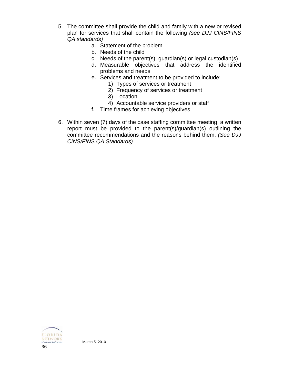- 5. The committee shall provide the child and family with a new or revised plan for services that shall contain the following *(see DJJ CINS/FINS QA standards)*
	- a. Statement of the problem
	- b. Needs of the child
	- c. Needs of the parent(s), guardian(s) or legal custodian(s)
	- d. Measurable objectives that address the identified problems and needs
	- e. Services and treatment to be provided to include:
		- 1) Types of services or treatment
		- 2) Frequency of services or treatment
		- 3) Location
		- 4) Accountable service providers or staff
	- f. Time frames for achieving objectives
- 6. Within seven (7) days of the case staffing committee meeting, a written report must be provided to the parent(s)/guardian(s) outlining the committee recommendations and the reasons behind them. *(See DJJ CINS/FINS QA Standards)*

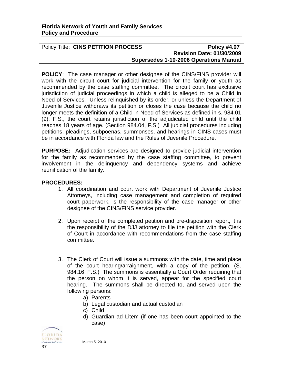# Policy Title: **CINS PETITION PROCESS** Policy #4.07 **Revision Date: 01/30/2009 Supersedes 1-10-2006 Operations Manual**

**POLICY**: The case manager or other designee of the CINS/FINS provider will work with the circuit court for judicial intervention for the family or youth as recommended by the case staffing committee. The circuit court has exclusive jurisdiction of judicial proceedings in which a child is alleged to be a Child in Need of Services. Unless relinquished by its order, or unless the Department of Juvenile Justice withdraws its petition or closes the case because the child no longer meets the definition of a Child in Need of Services as defined in s. 984.01 (9), F.S., the court retains jurisdiction of the adjudicated child until the child reaches 18 years of age. (Section 984.04, F.S.) All judicial procedures including petitions, pleadings, subpoenas, summonses, and hearings in CINS cases must be in accordance with Florida law and the Rules of Juvenile Procedure.

**PURPOSE:** Adjudication services are designed to provide judicial intervention for the family as recommended by the case staffing committee, to prevent involvement in the delinquency and dependency systems and achieve reunification of the family.

# **PROCEDURES:**

- 1. All coordination and court work with Department of Juvenile Justice Attorneys, including case management and completion of required court paperwork, is the responsibility of the case manager or other designee of the CINS/FINS service provider.
- 2. Upon receipt of the completed petition and pre-disposition report, it is the responsibility of the DJJ attorney to file the petition with the Clerk of Court in accordance with recommendations from the case staffing committee.
- 3. The Clerk of Court will issue a summons with the date, time and place of the court hearing/arraignment, with a copy of the petition. (S. 984.16, F.S.) The summons is essentially a Court Order requiring that the person on whom it is served, appear for the specified court hearing. The summons shall be directed to, and served upon the following persons:
	- a) Parents
	- b) Legal custodian and actual custodian
	- c) Child
	- d) Guardian ad Litem (if one has been court appointed to the case)

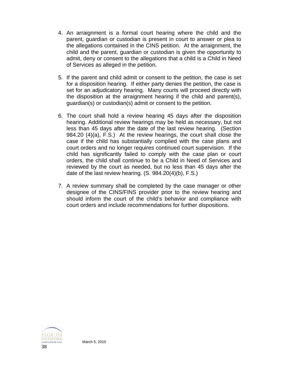- 4. An arraignment is a formal court hearing where the child and the parent, guardian or custodian is present in court to answer or plea to the allegations contained in the CINS petition. At the arraignment, the child and the parent, guardian or custodian is given the opportunity to admit, deny or consent to the allegations that a child is a Child in Need of Services as alleged in the petition.
- 5. If the parent and child admit or consent to the petition, the case is set for a disposition hearing. If either party denies the petition, the case is set for an adjudicatory hearing. Many courts will proceed directly with the disposition at the arraignment hearing if the child and parent(s), guardian(s) or custodian(s) admit or consent to the petition.
- 6. The court shall hold a review hearing 45 days after the disposition hearing. Additional review hearings may be held as necessary, but not less than 45 days after the date of the last review hearing. (Section 984.20 (4)(a), F.S.) At the review hearings, the court shall close the case if the child has substantially complied with the case plans and court orders and no longer requires continued court supervision. If the child has significantly failed to comply with the case plan or court orders, the child shall continue to be a Child in Need of Services and reviewed by the court as needed, but no less than 45 days after the date of the last review hearing. (S. 984.20(4)(b), F.S.)
- 7. A review summary shall be completed by the case manager or other designee of the CINS/FINS provider prior to the review hearing and should inform the court of the child's behavior and compliance with court orders and include recommendations for further dispositions.

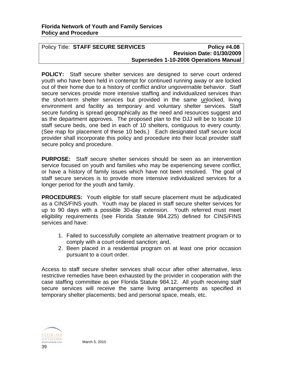# Policy Title: **STAFF SECURE SERVICES** Policy #4.08 **Revision Date: 01/30/2009 Supersedes 1-10-2006 Operations Manual**

**POLICY:** Staff secure shelter services are designed to serve court ordered youth who have been held in contempt for continued running away or are locked out of their home due to a history of conflict and/or ungovernable behavior. Staff secure services provide more intensive staffing and individualized services than the short-term shelter services but provided in the same unlocked, living environment and facility as temporary and voluntary shelter services. Staff secure funding is spread geographically as the need and resources suggest and as the department approves. The proposed plan to the DJJ will be to locate 10 staff secure beds, one bed in each of 10 shelters, contiguous to every county. (See map for placement of these 10 beds.) Each designated staff secure local provider shall incorporate this policy and procedure into their local provider staff secure policy and procedure.

**PURPOSE:** Staff secure shelter services should be seen as an intervention service focused on youth and families who may be experiencing severe conflict, or have a history of family issues which have not been resolved. The goal of staff secure services is to provide more intensive individualized services for a longer period for the youth and family.

**PROCEDURES:** Youth eligible for staff secure placement must be adjudicated as a CINS/FINS youth. Youth may be placed in staff secure shelter services for up to 90 days with a possible 30-day extension. Youth referred must meet eligibility requirements (see Florida Statute 984.225) defined for CINS/FINS services and have:

- 1. Failed to successfully complete an alternative treatment program or to comply with a court ordered sanction; and,
- 2. Been placed in a residential program on at least one prior occasion pursuant to a court order.

Access to staff secure shelter services shall occur after other alternative, less restrictive remedies have been exhausted by the provider in cooperation with the case staffing committee as per Florida Statute 984.12. All youth receiving staff secure services will receive the same living arrangements as specified in temporary shelter placements; bed and personal space, meals, etc.

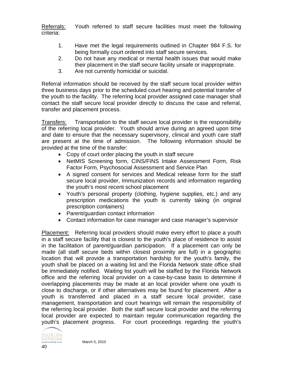Referrals: Youth referred to staff secure facilities must meet the following criteria:

- 1. Have met the legal requirements outlined in Chapter 984 F.S. for being formally court ordered into staff secure services.
- 2. Do not have any medical or mental health issues that would make their placement in the staff secure facility unsafe or inappropriate.
- 3. Are not currently homicidal or suicidal.

Referral information should be received by the staff secure local provider within three business days prior to the scheduled court hearing and potential transfer of the youth to the facility. The referring local provider assigned case manager shall contact the staff secure local provider directly to discuss the case and referral, transfer and placement process.

Transfers: Transportation to the staff secure local provider is the responsibility of the referring local provider. Youth should arrive during an agreed upon time and date to ensure that the necessary supervisory, clinical and youth care staff are present at the time of admission. The following information should be provided at the time of the transfer:

- Copy of court order placing the youth in staff secure
- NetMIS Screening form, CINS/FINS Intake Assessment Form, Risk Factor Form, Psychosocial Assessment and Service Plan
- A signed consent for services and Medical release form for the staff secure local provider, Immunization records and information regarding the youth's most recent school placement
- Youth's personal property (clothing, hygiene supplies, etc.) and any prescription medications the youth is currently taking (in original prescription containers)
- Parent/guardian contact information
- Contact information for case manager and case manager's supervisor

Placement: Referring local providers should make every effort to place a youth in a staff secure facility that is closest to the youth's place of residence to assist in the facilitation of parent/guardian participation. If a placement can only be made (all staff secure beds within closest proximity are full) in a geographic location that will provide a transportation hardship for the youth's family, the youth shall be placed on a waiting list and the Florida Network state office shall be immediately notified. Waiting list youth will be staffed by the Florida Network office and the referring local provider on a case-by-case basis to determine if overlapping placements may be made at an local provider where one youth is close to discharge, or if other alternatives may be found for placement. After a youth is transferred and placed in a staff secure local provider, case management, transportation and court hearings will remain the responsibility of the referring local provider. Both the staff secure local provider and the referring local provider are expected to maintain regular communication regarding the youth's placement progress. For court proceedings regarding the youth's

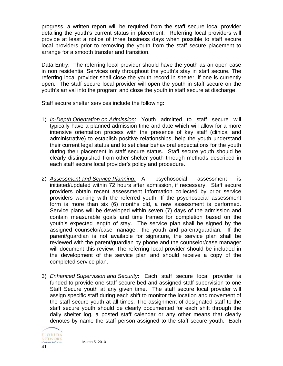progress, a written report will be required from the staff secure local provider detailing the youth's current status in placement. Referring local providers will provide at least a notice of three business days when possible to staff secure local providers prior to removing the youth from the staff secure placement to arrange for a smooth transfer and transition.

Data Entry: The referring local provider should have the youth as an open case in non residential Services only throughout the youth's stay in staff secure. The referring local provider shall close the youth record in shelter, if one is currently open. The staff secure local provider will open the youth in staff secure on the youth's arrival into the program and close the youth in staff secure at discharge.

# Staff secure shelter services include the following**:**

- 1) *In-Depth Orientation on Admission*: Youth admitted to staff secure will typically have a planned admission time and date which will allow for a more intensive orientation process with the presence of key staff (clinical and administrative) to establish positive relationships, help the youth understand their current legal status and to set clear behavioral expectations for the youth during their placement in staff secure status. Staff secure youth should be clearly distinguished from other shelter youth through methods described in each staff secure local provider's policy and procedure.
- 2) *Assessment and Service Planning*: A psychosocial assessment is initiated/updated within 72 hours after admission, if necessary. Staff secure providers obtain recent assessment information collected by prior service providers working with the referred youth. If the psychosocial assessment form is more than six (6) months old, a new assessment is performed. Service plans will be developed within seven (7) days of the admission and contain measurable goals and time frames for completion based on the youth's expected length of stay. The service plan shall be signed by the assigned counselor/case manager, the youth and parent/guardian. If the parent/guardian is not available for signature, the service plan shall be reviewed with the parent/guardian by phone and the counselor/case manager will document this review. The referring local provider should be included in the development of the service plan and should receive a copy of the completed service plan.
- 3) *Enhanced Supervision and Security***:** Each staff secure local provider is funded to provide one staff secure bed and assigned staff supervision to one Staff Secure youth at any given time. The staff secure local provider will assign specific staff during each shift to monitor the location and movement of the staff secure youth at all times. The assignment of designated staff to the staff secure youth should be clearly documented for each shift through the daily shelter log, a posted staff calendar or any other means that clearly denotes by name the staff person assigned to the staff secure youth. Each

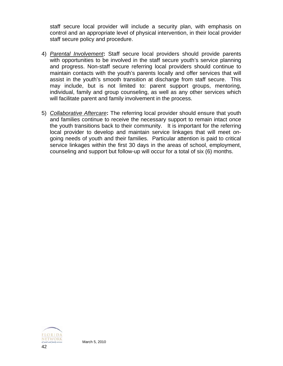staff secure local provider will include a security plan, with emphasis on control and an appropriate level of physical intervention, in their local provider staff secure policy and procedure.

- 4) *Parental Involvement***:** Staff secure local providers should provide parents with opportunities to be involved in the staff secure youth's service planning and progress. Non-staff secure referring local providers should continue to maintain contacts with the youth's parents locally and offer services that will assist in the youth's smooth transition at discharge from staff secure. This may include, but is not limited to: parent support groups, mentoring, individual, family and group counseling, as well as any other services which will facilitate parent and family involvement in the process.
- 5) *Collaborative Aftercare***:** The referring local provider should ensure that youth and families continue to receive the necessary support to remain intact once the youth transitions back to their community. It is important for the referring local provider to develop and maintain service linkages that will meet ongoing needs of youth and their families. Particular attention is paid to critical service linkages within the first 30 days in the areas of school, employment, counseling and support but follow-up will occur for a total of six (6) months.

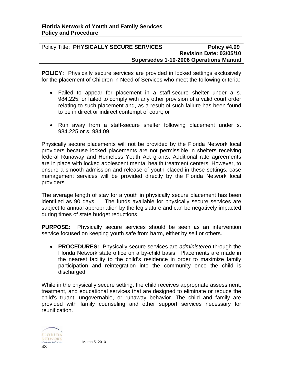## Policy Title: PHYSICALLY SECURE SERVICES Policy #4.09 **Revision Date: 03/05/10 Supersedes 1-10-2006 Operations Manual**

**POLICY:** Physically secure services are provided in locked settings exclusively for the placement of Children in Need of Services who meet the following criteria:

- Failed to appear for placement in a staff-secure shelter under a s. 984.225, or failed to comply with any other provision of a valid court order relating to such placement and, as a result of such failure has been found to be in direct or indirect contempt of court; or
- Run away from a staff-secure shelter following placement under s. 984.225 or s. 984.09.

Physically secure placements will not be provided by the Florida Network local providers because locked placements are not permissible in shelters receiving federal Runaway and Homeless Youth Act grants. Additional rate agreements are in place with locked adolescent mental health treatment centers. However, to ensure a smooth admission and release of youth placed in these settings, case management services will be provided directly by the Florida Network local providers.

The average length of stay for a youth in physically secure placement has been identified as 90 days. The funds available for physically secure services are subject to annual appropriation by the legislature and can be negatively impacted during times of state budget reductions.

**PURPOSE:** Physically secure services should be seen as an intervention service focused on keeping youth safe from harm, either by self or others.

• **PROCEDURES:** Physically secure services are *administered* through the Florida Network state office on a by-child basis. Placements are made in the nearest facility to the child's residence in order to maximize family participation and reintegration into the community once the child is discharged.

While in the physically secure setting, the child receives appropriate assessment, treatment, and educational services that are designed to eliminate or reduce the child's truant, ungovernable, or runaway behavior. The child and family are provided with family counseling and other support services necessary for reunification.

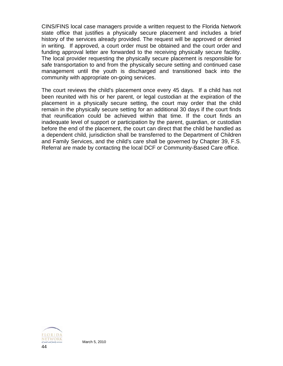CINS/FINS local case managers provide a written request to the Florida Network state office that justifies a physically secure placement and includes a brief history of the services already provided. The request will be approved or denied in writing. If approved, a court order must be obtained and the court order and funding approval letter are forwarded to the receiving physically secure facility. The local provider requesting the physically secure placement is responsible for safe transportation to and from the physically secure setting and continued case management until the youth is discharged and transitioned back into the community with appropriate on-going services.

The court reviews the child's placement once every 45 days. If a child has not been reunited with his or her parent, or legal custodian at the expiration of the placement in a physically secure setting, the court may order that the child remain in the physically secure setting for an additional 30 days if the court finds that reunification could be achieved within that time. If the court finds an inadequate level of support or participation by the parent, guardian, or custodian before the end of the placement, the court can direct that the child be handled as a dependent child, jurisdiction shall be transferred to the Department of Children and Family Services, and the child's care shall be governed by Chapter 39, F.S. Referral are made by contacting the local DCF or Community-Based Care office.

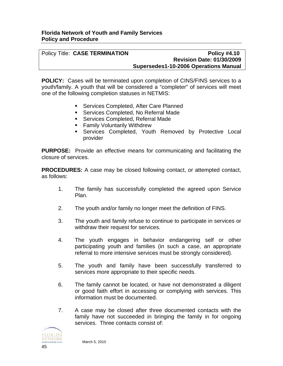#### Policy Title: **CASE TERMINATION** Policy #4.10 **Revision Date: 01/30/2009 Supersedes1-10-2006 Operations Manual**

**POLICY:** Cases will be terminated upon completion of CINS/FINS services to a youth/family. A youth that will be considered a "completer" of services will meet one of the following completion statuses in NETMIS:

- **Services Completed, After Care Planned**
- **Services Completed, No Referral Made**
- **Services Completed, Referral Made**
- **Family Voluntarily Withdrew**
- Services Completed, Youth Removed by Protective Local provider

**PURPOSE:** Provide an effective means for communicating and facilitating the closure of services.

**PROCEDURES:** A case may be closed following contact, or attempted contact, as follows:

- 1. The family has successfully completed the agreed upon Service Plan.
- 2. The youth and/or family no longer meet the definition of FINS.
- 3. The youth and family refuse to continue to participate in services or withdraw their request for services.
- 4. The youth engages in behavior endangering self or other participating youth and families (in such a case, an appropriate referral to more intensive services must be strongly considered).
- 5. The youth and family have been successfully transferred to services more appropriate to their specific needs.
- 6. The family cannot be located, or have not demonstrated a diligent or good faith effort in accessing or complying with services. This information must be documented.
- 7. A case may be closed after three documented contacts with the family have not succeeded in bringing the family in for ongoing services. Three contacts consist of:

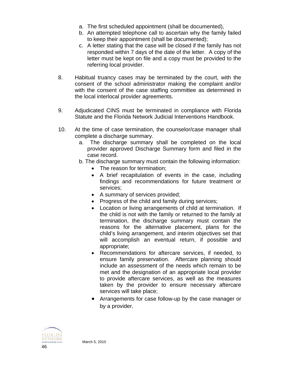- a. The first scheduled appointment (shall be documented),
- b. An attempted telephone call to ascertain why the family failed to keep their appointment (shall be documented);
- c. A letter stating that the case will be closed if the family has not responded within 7 days of the date of the letter. A copy of the letter must be kept on file and a copy must be provided to the referring local provider.
- 8. Habitual truancy cases may be terminated by the court, with the consent of the school administrator making the complaint and/or with the consent of the case staffing committee as determined in the local interlocal provider agreements.
- 9. Adjudicated CINS must be terminated in compliance with Florida Statute and the Florida Network Judicial Interventions Handbook.
- 10. At the time of case termination, the counselor/case manager shall complete a discharge summary.
	- a. The discharge summary shall be completed on the local provider approved Discharge Summary form and filed in the case record.
	- b. The discharge summary must contain the following information:
		- The reason for termination:
		- A brief recapitulation of events in the case, including findings and recommendations for future treatment or services;
		- A summary of services provided;
		- Progress of the child and family during services;
		- Location or living arrangements of child at termination. If the child is not with the family or returned to the family at termination, the discharge summary must contain the reasons for the alternative placement, plans for the child's living arrangement, and interim objectives set that will accomplish an eventual return, if possible and appropriate;
		- Recommendations for aftercare services, if needed, to ensure family preservation. Aftercare planning should include an assessment of the needs which remain to be met and the designation of an appropriate local provider to provide aftercare services, as well as the measures taken by the provider to ensure necessary aftercare services will take place;
		- Arrangements for case follow-up by the case manager or by a provider.

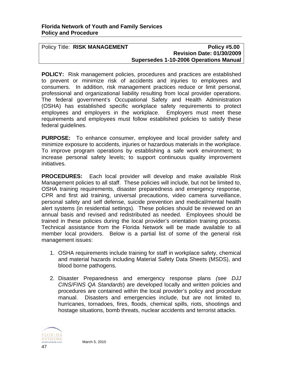#### Policy Title: **RISK MANAGEMENT** Policy #5.00 **Revision Date: 01/30/2009 Supersedes 1-10-2006 Operations Manual**

**POLICY:** Risk management policies, procedures and practices are established to prevent or minimize risk of accidents and injuries to employees and consumers. In addition, risk management practices reduce or limit personal, professional and organizational liability resulting from local provider operations. The federal government's Occupational Safety and Health Administration (OSHA) has established specific workplace safety requirements to protect employees and employers in the workplace. Employers must meet these requirements and employees must follow established policies to satisfy these federal guidelines.

**PURPOSE:**To enhance consumer, employee and local provider safety and minimize exposure to accidents, injuries or hazardous materials in the workplace. To improve program operations by establishing a safe work environment; to increase personal safety levels; to support continuous quality improvement initiatives.

**PROCEDURES:** Each local provider will develop and make available Risk Management policies to all staff. These policies will include, but not be limited to, OSHA training requirements, disaster preparedness and emergency response, CPR and first aid training, universal precautions, video camera surveillance, personal safety and self defense, suicide prevention and medical/mental health alert systems (in residential settings). These policies should be reviewed on an annual basis and revised and redistributed as needed. Employees should be trained in these policies during the local provider's orientation training process. Technical assistance from the Florida Network will be made available to all member local providers. Below is a partial list of some of the general risk management issues:

- 1. OSHA requirements include training for staff in workplace safety, chemical and material hazards including Material Safety Data Sheets (MSDS), and blood borne pathogens.
- 2. Disaster Preparedness and emergency response plans *(see DJJ CINS/FINS QA Standards*) are developed locally and written policies and procedures are contained within the local provider's policy and procedure manual. Disasters and emergencies include, but are not limited to, hurricanes, tornadoes, fires, floods, chemical spills, riots, shootings and hostage situations, bomb threats, nuclear accidents and terrorist attacks.

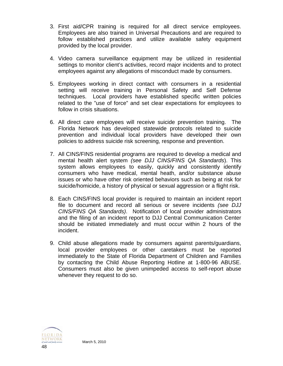- 3. First aid/CPR training is required for all direct service employees. Employees are also trained in Universal Precautions and are required to follow established practices and utilize available safety equipment provided by the local provider.
- 4. Video camera surveillance equipment may be utilized in residential settings to monitor client's activities, record major incidents and to protect employees against any allegations of misconduct made by consumers.
- 5. Employees working in direct contact with consumers in a residential setting will receive training in Personal Safety and Self Defense techniques. Local providers have established specific written policies related to the "use of force" and set clear expectations for employees to follow in crisis situations.
- 6. All direct care employees will receive suicide prevention training. The Florida Network has developed statewide protocols related to suicide prevention and individual local providers have developed their own policies to address suicide risk screening, response and prevention.
- 7. All CINS/FINS residential programs are required to develop a medical and mental health alert system *(see DJJ CINS/FINS QA Standards*). This system allows employees to easily, quickly and consistently identify consumers who have medical, mental heath, and/or substance abuse issues or who have other risk oriented behaviors such as being at risk for suicide/homicide, a history of physical or sexual aggression or a flight risk.
- 8. Each CINS/FINS local provider is required to maintain an incident report file to document and record all serious or severe incidents *(see DJJ CINS/FINS QA Standards)*. Notification of local provider administrators and the filing of an incident report to DJJ Central Communication Center should be initiated immediately and must occur within 2 hours of the incident.
- 9. Child abuse allegations made by consumers against parents/guardians, local provider employees or other caretakers must be reported immediately to the State of Florida Department of Children and Families by contacting the Child Abuse Reporting Hotline at 1-800-96 ABUSE. Consumers must also be given unimpeded access to self-report abuse whenever they request to do so.

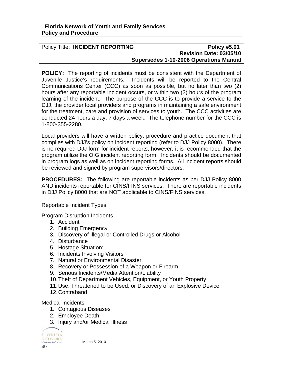### Policy Title: **INCIDENT REPORTING** Policy #5.01 **Revision Date: 03/05/10 Supersedes 1-10-2006 Operations Manual**

**POLICY:** The reporting of incidents must be consistent with the Department of Juvenile Justice's requirements. Incidents will be reported to the Central Communications Center (CCC) as soon as possible, but no later than two (2) hours after any reportable incident occurs, or within two (2) hours of the program learning of the incident. The purpose of the CCC is to provide a service to the DJJ, the provider local providers and programs in maintaining a safe environment for the treatment, care and provision of services to youth. The CCC activities are conducted 24 hours a day, 7 days a week. The telephone number for the CCC is 1-800-355-2280.

Local providers will have a written policy, procedure and practice document that complies with DJJ's policy on incident reporting (refer to DJJ Policy 8000). There is no required DJJ form for incident reports; however, it is recommended that the program utilize the OIG incident reporting form. Incidents should be documented in program logs as well as on incident reporting forms. All incident reports should be reviewed and signed by program supervisors/directors.

**PROCEDURES:** The following are reportable incidents as per DJJ Policy 8000 AND incidents reportable for CINS/FINS services. There are reportable incidents in DJJ Policy 8000 that are NOT applicable to CINS/FINS services.

Reportable Incident Types

Program Disruption Incidents

- 1. Accident
- 2. Building Emergency
- 3. Discovery of Illegal or Controlled Drugs or Alcohol
- 4. Disturbance
- 5. Hostage Situation:
- 6. Incidents Involving Visitors
- 7. Natural or Environmental Disaster
- 8. Recovery or Possession of a Weapon or Firearm
- 9. Serious Incidents/Media Attention/Liability
- 10. Theft of Department Vehicles, Equipment, or Youth Property
- 11. Use, Threatened to be Used, or Discovery of an Explosive Device
- 12. Contraband

Medical Incidents

- 1. Contagious Diseases
- 2. Employee Death
- 3. Injury and/or Medical Illness



March 5, 2010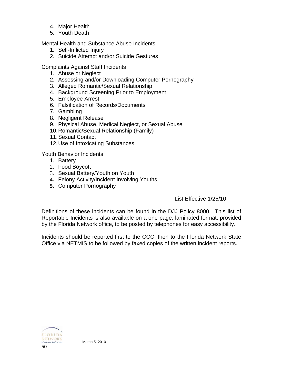- 4. Major Health
- 5. Youth Death

Mental Health and Substance Abuse Incidents

- 1. Self-Inflicted Injury
- 2. Suicide Attempt and/or Suicide Gestures

Complaints Against Staff Incidents

- 1. Abuse or Neglect
- 2. Assessing and/or Downloading Computer Pornography
- 3. Alleged Romantic/Sexual Relationship
- 4. Background Screening Prior to Employment
- 5. Employee Arrest
- 6. Falsification of Records/Documents
- 7. Gambling
- 8. Negligent Release
- 9. Physical Abuse, Medical Neglect, or Sexual Abuse
- 10. Romantic/Sexual Relationship (Family)
- 11. Sexual Contact
- 12. Use of Intoxicating Substances

Youth Behavior Incidents

- 1. Battery
- 2. Food Boycott
- 3. Sexual Battery/Youth on Youth
- **4.** Felony Activity/Incident Involving Youths
- **5.** Computer Pornography

List Effective 1/25/10

Definitions of these incidents can be found in the DJJ Policy 8000. This list of Reportable Incidents is also available on a one-page, laminated format, provided by the Florida Network office, to be posted by telephones for easy accessibility.

Incidents should be reported first to the CCC, then to the Florida Network State Office via NETMIS to be followed by faxed copies of the written incident reports.

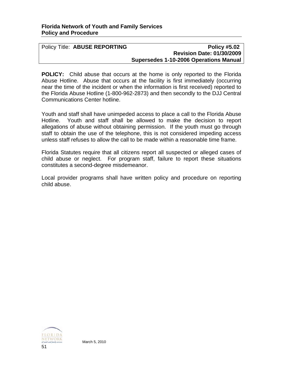#### Policy Title: ABUSE REPORTING **Policy #5.02 Revision Date: 01/30/2009 Supersedes 1-10-2006 Operations Manual**

**POLICY:** Child abuse that occurs at the home is only reported to the Florida Abuse Hotline. Abuse that occurs at the facility is first immediately (occurring near the time of the incident or when the information is first received) reported to the Florida Abuse Hotline (1-800-962-2873) and then secondly to the DJJ Central Communications Center hotline.

Youth and staff shall have unimpeded access to place a call to the Florida Abuse Hotline. Youth and staff shall be allowed to make the decision to report allegations of abuse without obtaining permission. If the youth must go through staff to obtain the use of the telephone, this is not considered impeding access unless staff refuses to allow the call to be made within a reasonable time frame.

Florida Statutes require that all citizens report all suspected or alleged cases of child abuse or neglect. For program staff, failure to report these situations constitutes a second-degree misdemeanor.

Local provider programs shall have written policy and procedure on reporting child abuse.

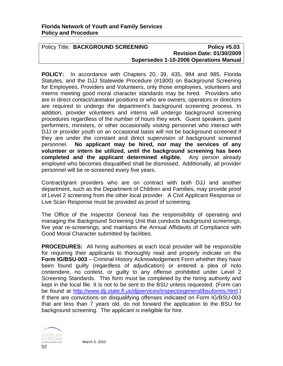# Policy Title: **BACKGROUND SCREENING** Policy #5.03 **Revision Date: 01/30/2009 Supersedes 1-10-2006 Operations Manual**

**POLICY:** In accordance with Chapters 20, 39, 435, 984 and 985, Florida Statutes, and the DJJ Statewide Procedure (#1800) on Background Screening for Employees, Providers and Volunteers, only those employees, volunteers and interns meeting good moral character standards may be hired. Providers who are in direct contact/caretaker positions or who are owners, operators or directors are required to undergo the department's background screening process. In addition, provider volunteers and interns will undergo background screening procedures regardless of the number of hours they work. Guest speakers, guest performers, ministers, or other occasionally visiting personnel who interact with DJJ or provider youth on an occasional basis will not be background screened if they are under the constant and direct supervision of background screened personnel. **No applicant may be hired, nor may the services of any volunteer or intern be utilized, until the background screening has been completed and the applicant determined eligible.** Any person already employed who becomes disqualified shall be dismissed. Additionally, all provider personnel will be re-screened every five years.

Contract/grant providers who are on contract with both DJJ and another department, such as the Department of Children and Families, may provide proof of Level 2 screening from the other local provider. A Civil Applicant Response or Live Scan Response must be provided as proof of screening.

The Office of the Inspector General has the responsibility of operating and managing the Background Screening Unit that conducts background screenings, five year re-screenings, and maintains the Annual Affidavits of Compliance with Good Moral Character submitted by facilities.

**PROCEDURES:** All hiring authorities at each local provider will be responsible for requiring their applicants to thoroughly read and properly indicate on the **Form IG/BSU-003** – Criminal History Acknowledgement Form whether they have been found guilty (regardless of adjudication) or entered a plea of nolo contendere, no contest, or guilty to any offense prohibited under Level 2 Screening Standards. This form must be completed by the hiring authority and kept in the local file. It is not to be sent to the BSU unless requested. (Form can be found at [http://www.djj.state.fl.us/djjservices/inspectorgeneral/bsuforms.html.](http://www.djj.state.fl.us/djjservices/inspectorgeneral/bsuforms.html)) If there are convictions on disqualifying offenses indicated on Form IG/BSU-003 that are less than 7 years old, do not forward the application to the BSU for background screening. The applicant is ineligible for hire.

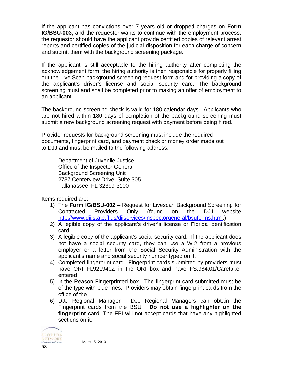If the applicant has convictions over 7 years old or dropped charges on **Form IG/BSU-003,** and the requestor wants to continue with the employment process, the requestor should have the applicant provide certified copies of relevant arrest reports and certified copies of the judicial disposition for each charge of concern and submit them with the background screening package.

If the applicant is still acceptable to the hiring authority after completing the acknowledgement form, the hiring authority is then responsible for properly filling out the Live Scan background screening request form and for providing a copy of the applicant's driver's license and social security card. The background screening must and shall be completed prior to making an offer of employment to an applicant.

The background screening check is valid for 180 calendar days. Applicants who are not hired within 180 days of completion of the background screening must submit a new background screening request with payment before being hired.

Provider requests for background screening must include the required documents, fingerprint card, and payment check or money order made out to DJJ and must be mailed to the following address:

Department of Juvenile Justice Office of the Inspector General Background Screening Unit 2737 Centerview Drive, Suite 305 Tallahassee, FL 32399-3100

Items required are:

- 1) The **Form IG/BSU-002**  Request for Livescan Background Screening for Contracted Providers Only (found on the DJJ website <http://www.djj.state.fl.us/djjservices/inspectorgeneral/bsuforms.html>.)
- 2) A legible copy of the applicant's driver's license or Florida identification card.
- 3) A legible copy of the applicant's social security card. If the applicant does not have a social security card, they can use a W-2 from a previous employer or a letter from the Social Security Administration with the applicant's name and social security number typed on it.
- 4) Completed fingerprint card. Fingerprint cards submitted by providers must have ORI FL921940Z in the ORI box and have FS.984.01/Caretaker entered
- 5) in the Reason Fingerprinted box. The fingerprint card submitted must be of the type with blue lines. Providers may obtain fingerprint cards from the office of the
- 6) DJJ Regional Manager. DJJ Regional Managers can obtain the Fingerprint cards from the BSU. **Do not use a highlighter on the fingerprint card**. The FBI will not accept cards that have any highlighted sections on it.

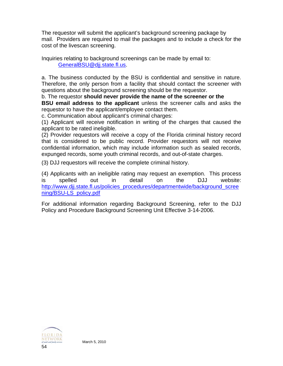The requestor will submit the applicant's background screening package by mail. Providers are required to mail the packages and to include a check for the cost of the livescan screening.

Inquiries relating to background screenings can be made by email to: [GeneralBSU@djj.state.fl.us](mailto:GeneralBSU@djj.state.fl.us).

a. The business conducted by the BSU is confidential and sensitive in nature. Therefore, the only person from a facility that should contact the screener with questions about the background screening should be the requestor.

b. The requestor **should never provide the name of the screener or the** 

**BSU email address to the applicant** unless the screener calls and asks the requestor to have the applicant/employee contact them.

c. Communication about applicant's criminal charges:

(1) Applicant will receive notification in writing of the charges that caused the applicant to be rated ineligible.

(2) Provider requestors will receive a copy of the Florida criminal history record that is considered to be public record. Provider requestors will not receive confidential information, which may include information such as sealed records, expunged records, some youth criminal records, and out-of-state charges.

(3) DJJ requestors will receive the complete criminal history.

(4) Applicants with an ineligible rating may request an exemption. This process is spelled out in detail on the DJJ website: [http://www.djj.state.fl.us/policies\\_procedures/departmentwide/background\\_scree](http://www.djj.state.fl.us/policies_procedures/departmentwide/background_screening/BSU-LS_policy.pdf) [ning/BSU-LS\\_policy.pdf](http://www.djj.state.fl.us/policies_procedures/departmentwide/background_screening/BSU-LS_policy.pdf) 

For additional information regarding Background Screening, refer to the DJJ Policy and Procedure Background Screening Unit Effective 3-14-2006.

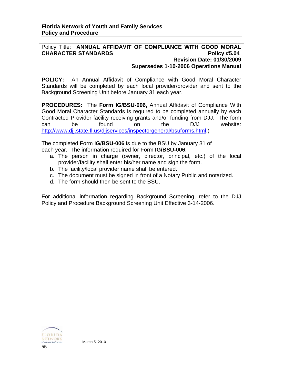#### Policy Title: **ANNUAL AFFIDAVIT OF COMPLIANCE WITH GOOD MORAL CHARACTER STANDARDS** Policy #5.04 **Revision Date: 01/30/2009 Supersedes 1-10-2006 Operations Manual**

**POLICY:** An Annual Affidavit of Compliance with Good Moral Character Standards will be completed by each local provider/provider and sent to the Background Screening Unit before January 31 each year.

**PROCEDURES:** The **Form IG/BSU-006,** Annual Affidavit of Compliance With Good Moral Character Standards is required to be completed annually by each Contracted Provider facility receiving grants and/or funding from DJJ. The form can be found on the DJJ website: <http://www.djj.state.fl.us/djjservices/inspectorgeneral/bsuforms.html>.)

The completed Form **IG/BSU-006** is due to the BSU by January 31 of each year. The information required for Form **IG/BSU-006**:

- a. The person in charge (owner, director, principal, etc.) of the local provider/facility shall enter his/her name and sign the form.
- b. The facility/local provider name shall be entered.
- c. The document must be signed in front of a Notary Public and notarized.
- d. The form should then be sent to the BSU.

For additional information regarding Background Screening, refer to the DJJ Policy and Procedure Background Screening Unit Effective 3-14-2006.

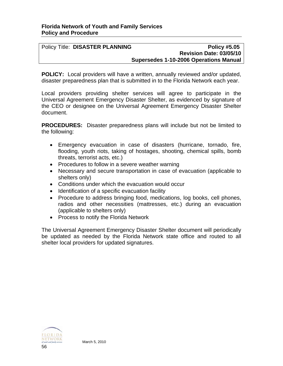#### Policy Title: DISASTER PLANNING **Policy #5.05 Revision Date: 03/05/10 Supersedes 1-10-2006 Operations Manual**

**POLICY:** Local providers will have a written, annually reviewed and/or updated, disaster preparedness plan that is submitted in to the Florida Network each year.

Local providers providing shelter services will agree to participate in the Universal Agreement Emergency Disaster Shelter, as evidenced by signature of the CEO or designee on the Universal Agreement Emergency Disaster Shelter document.

**PROCEDURES:** Disaster preparedness plans will include but not be limited to the following:

- Emergency evacuation in case of disasters (hurricane, tornado, fire, flooding, youth riots, taking of hostages, shooting, chemical spills, bomb threats, terrorist acts, etc.)
- Procedures to follow in a severe weather warning
- Necessary and secure transportation in case of evacuation (applicable to shelters only)
- Conditions under which the evacuation would occur
- Identification of a specific evacuation facility
- Procedure to address bringing food, medications, log books, cell phones, radios and other necessities (mattresses, etc.) during an evacuation (applicable to shelters only)
- Process to notify the Florida Network

The Universal Agreement Emergency Disaster Shelter document will periodically be updated as needed by the Florida Network state office and routed to all shelter local providers for updated signatures.

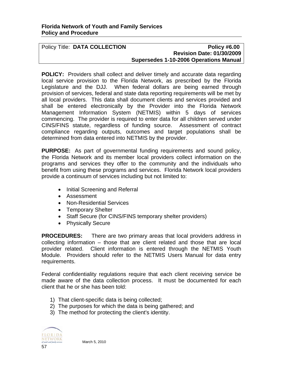### Policy Title: DATA COLLECTION **Policy #6.00**

# **Revision Date: 01/30/2009 Supersedes 1-10-2006 Operations Manual**

**POLICY:** Providers shall collect and deliver timely and accurate data regarding local service provision to the Florida Network, as prescribed by the Florida Legislature and the DJJ. When federal dollars are being earned through provision of services, federal and state data reporting requirements will be met by all local providers. This data shall document clients and services provided and shall be entered electronically by the Provider into the Florida Network Management Information System (NETMIS) within 5 days of services commencing. The provider is required to enter data for all children served under CINS/FINS statute, regardless of funding source. Assessment of contract compliance regarding outputs, outcomes and target populations shall be determined from data entered into NETMIS by the provider.

**PURPOSE:** As part of governmental funding requirements and sound policy, the Florida Network and its member local providers collect information on the programs and services they offer to the community and the individuals who benefit from using these programs and services. Florida Network local providers provide a continuum of services including but not limited to:

- Initial Screening and Referral
- Assessment
- Non-Residential Services
- Temporary Shelter
- Staff Secure (for CINS/FINS temporary shelter providers)
- Physically Secure

**PROCEDURES:** There are two primary areas that local providers address in collecting information – those that are client related and those that are local provider related. Client information is entered through the NETMIS Youth Module. Providers should refer to the NETMIS Users Manual for data entry requirements.

Federal confidentiality regulations require that each client receiving service be made aware of the data collection process. It must be documented for each client that he or she has been told:

- 1) That client-specific data is being collected;
- 2) The purposes for which the data is being gathered; and
- 3) The method for protecting the client's identity.

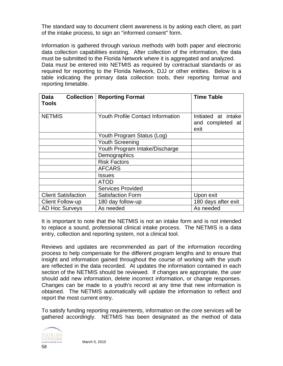The standard way to document client awareness is by asking each client, as part of the intake process, to sign an "informed consent" form.

Information is gathered through various methods with both paper and electronic data collection capabilities existing. After collection of the information, the data must be submitted to the Florida Network where it is aggregated and analyzed. Data must be entered into NETMIS as required by contractual standards or as required for reporting to the Florida Network, DJJ or other entities. Below is a table indicating the primary data collection tools, their reporting format and reporting timetable.

| <b>Collection</b><br><b>Data</b><br><b>Tools</b> | <b>Reporting Format</b>                  | <b>Time Table</b>                               |
|--------------------------------------------------|------------------------------------------|-------------------------------------------------|
| <b>NETMIS</b>                                    | <b>Youth Profile Contact Information</b> | Initiated at intake<br>and completed at<br>exit |
|                                                  | Youth Program Status (Log)               |                                                 |
|                                                  | <b>Youth Screening</b>                   |                                                 |
|                                                  | Youth Program Intake/Discharge           |                                                 |
|                                                  | Demographics                             |                                                 |
|                                                  | <b>Risk Factors</b>                      |                                                 |
|                                                  | <b>AFCARS</b>                            |                                                 |
|                                                  | <b>Issues</b>                            |                                                 |
|                                                  | <b>ATOD</b>                              |                                                 |
|                                                  | <b>Services Provided</b>                 |                                                 |
| <b>Client Satisfaction</b>                       | <b>Satisfaction Form</b>                 | Upon exit                                       |
| Client Follow-up                                 | 180 day follow-up                        | 180 days after exit                             |
| <b>AD Hoc Surveys</b>                            | As needed                                | As needed                                       |

It is important to note that the NETMIS is not an intake form and is not intended to replace a sound, professional clinical intake process. The NETMIS is a data entry, collection and reporting system, not a clinical tool.

Reviews and updates are recommended as part of the information recording process to help compensate for the different program lengths and to ensure that insight and information gained throughout the course of working with the youth are reflected in the data recorded. At updates the information contained in each section of the NETMIS should be reviewed. If changes are appropriate, the user should add new information, delete incorrect information, or change responses. Changes can be made to a youth's record at any time that new information is obtained. The NETMIS automatically will update the information to reflect and report the most current entry.

To satisfy funding reporting requirements, information on the core services will be gathered accordingly. NETMIS has been designated as the method of data

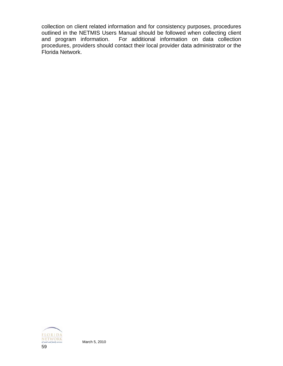collection on client related information and for consistency purposes, procedures outlined in the NETMIS Users Manual should be followed when collecting client and program information. For additional information on data collection For additional information on data collection procedures, providers should contact their local provider data administrator or the Florida Network.

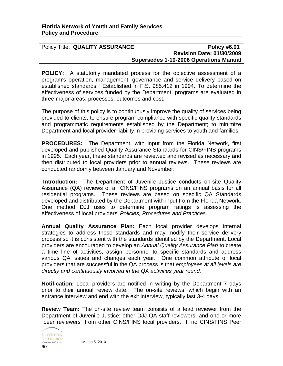### Policy Title: QUALITY ASSURANCE Policy #6.01 **Revision Date: 01/30/2009 Supersedes 1-10-2006 Operations Manual**

**POLICY:** A statutorily mandated process for the objective assessment of a program's operation, management, governance and service delivery based on established standards. Established in F.S. 985.412 in 1994. To determine the effectiveness of services funded by the Department, programs are evaluated in three major areas: processes, outcomes and cost.

The purpose of this policy is to continuously improve the quality of services being provided to clients; to ensure program compliance with specific quality standards and programmatic requirements established by the Department; to minimize Department and local provider liability in providing services to youth and families.

**PROCEDURES:** The Department, with input from the Florida Network, first developed and published Quality Assurance Standards for CINS/FINS programs in 1995. Each year, these standards are reviewed and revised as necessary and then distributed to local providers prior to annual reviews. These reviews are conducted randomly between January and November.

**Introduction:** The Department of Juvenile Justice conducts on-site Quality Assurance (QA) reviews of all CINS/FINS programs on an annual basis for all residential programs. These reviews are based on specific QA Standards developed and distributed by the Department with input from the Florida Network. One method DJJ uses to determine program ratings is assessing the effectiveness of local providers' *Policies, Procedures and Practices.* 

**Annual Quality Assurance Plan:** Each local provider develops internal strategies to address these standards and may modify their service delivery process so it is consistent with the standards identified by the Department. Local providers are encouraged to develop an *Annual Quality Assurance Plan* to create a time line of activities, assign personnel to specific standards and address various QA issues and changes each year. One common attribute of local providers that are successful in the QA process is that *employees at all levels are directly and continuously involved in the QA activities year round.*

**Notification:** Local providers are notified in writing by the Department 7 days prior to their annual review date. The on-site reviews, which begin with an entrance interview and end with the exit interview, typically last 3-4 days.

**Review Team:** The on-site review team consists of a lead reviewer from the Department of Juvenile Justice; other DJJ QA staff reviewers; and one or more "peer reviewers" from other CINS/FINS local providers. If no CINS/FINS Peer

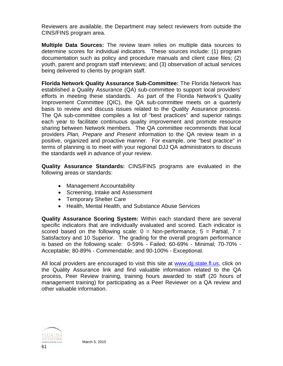Reviewers are available, the Department may select reviewers from outside the CINS/FINS program area.

**Multiple Data Sources:** The review team relies on multiple data sources to determine scores for individual indicators. These sources include: (1) program documentation such as policy and procedure manuals and client case files; (2) youth, parent and program staff interviews; and (3) observation of actual services being delivered to clients by program staff.

**Florida Network Quality Assurance Sub-Committee:** The Florida Network has established a Quality Assurance (QA) sub-committee to support local providers' efforts in meeting these standards. As part of the Florida Network's Quality Improvement Committee (QIC), the QA sub-committee meets on a quarterly basis to review and discuss issues related to the Quality Assurance process. The QA sub-committee compiles a list of "best practices" and superior ratings each year to facilitate continuous quality improvement and promote resource sharing between Network members. The QA committee recommends that local providers *Plan, Prepare and Present* information to the QA review team in a positive, organized and proactive manner. For example, one "best practice" in terms of planning is to meet with your regional DJJ QA administrators to discuss the standards well in advance of your review.

**Quality Assurance Standards:** CINS/FINS programs are evaluated in the following areas or standards:

- Management Accountability
- Screening, Intake and Assessment
- Temporary Shelter Care
- Health, Mental Health, and Substance Abuse Services

**Quality Assurance Scoring System:** Within each standard there are several specific indicators that are individually evaluated and scored. Each indicator is scored based on the following scale:  $0 =$  Non-performance,  $5 =$  Partial,  $7 =$ Satisfactory and 10 Superior. The grading for the overall program performance is based on the following scale: 0-59% - Failed; 60-69% - Minimal; 70-70% - Acceptable; 80-89% - Commendable; and 90-100% - Exceptional.

All local providers are encouraged to visit this site at [www.djj.state.fl.us,](http://www.djj.state.fl.us/) click on the Quality Assurance link and find valuable information related to the QA process, Peer Review training, training hours awarded to staff (20 hours of management training) for participating as a Peer Reviewer on a QA review and other valuable information.

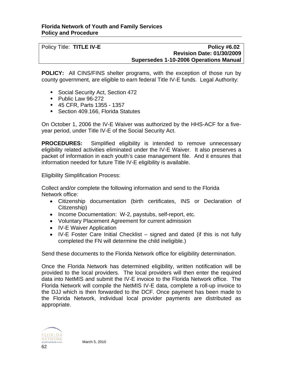#### Policy Title: **TITLE IV-E Policy #6.02 Revision Date: 01/30/2009 Supersedes 1-10-2006 Operations Manual**

**POLICY:** All CINS/FINS shelter programs, with the exception of those run by county government, are eligible to earn federal Title IV-E funds. Legal Authority:

- Social Security Act, Section 472
- $\bullet$  Public Law 96-272
- 45 CFR, Parts 1355 1357
- Section 409.166, Florida Statutes

On October 1, 2006 the IV-E Waiver was authorized by the HHS-ACF for a fiveyear period, under Title IV-E of the Social Security Act.

**PROCEDURES:** Simplified eligibility is intended to remove unnecessary eligibility related activities eliminated under the IV-E Waiver. It also preserves a packet of information in each youth's case management file. And it ensures that information needed for future Title IV-E eligibility is available.

Eligibility Simplification Process:

Collect and/or complete the following information and send to the Florida Network office:

- Citizenship documentation (birth certificates, INS or Declaration of Citizenship)
- Income Documentation: W-2, paystubs, self-report, etc.
- Voluntary Placement Agreement for current admission
- IV-E Waiver Application
- IV-E Foster Care Initial Checklist signed and dated (if this is not fully completed the FN will determine the child ineligible.)

Send these documents to the Florida Network office for eligibility determination.

Once the Florida Network has determined eligibility, written notification will be provided to the local providers. The local providers will then enter the required data into NetMIS and submit the IV-E invoice to the Florida Network office. The Florida Network will compile the NetMIS IV-E data, complete a roll-up invoice to the DJJ which is then forwarded to the DCF. Once payment has been made to the Florida Network, individual local provider payments are distributed as appropriate.

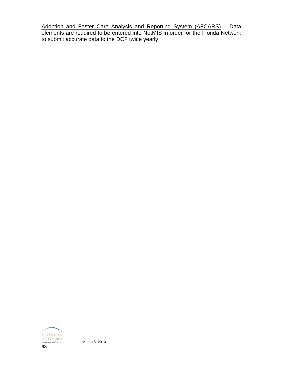Adoption and Foster Care Analysis and Reporting System (AFCARS) – Data elements are required to be entered into NetMIS in order for the Florida Network to submit accurate data to the DCF twice yearly.

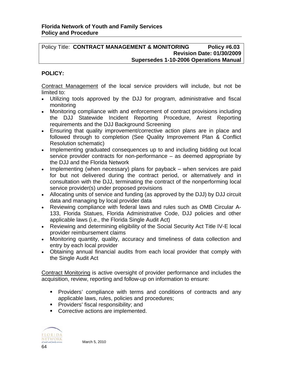### Policy Title: **CONTRACT MANAGEMENT & MONITORING** Policy #6.03 **Revision Date: 01/30/2009 Supersedes 1-10-2006 Operations Manual**

# **POLICY:**

Contract Management of the local service providers will include, but not be limited to:

- Utilizing tools approved by the DJJ for program, administrative and fiscal monitoring
- Monitoring compliance with and enforcement of contract provisions including the DJJ Statewide Incident Reporting Procedure, Arrest Reporting requirements and the DJJ Background Screening
- Ensuring that quality improvement/corrective action plans are in place and followed through to completion (See Quality Improvement Plan & Conflict Resolution schematic)
- Implementing graduated consequences up to and including bidding out local service provider contracts for non-performance – as deemed appropriate by the DJJ and the Florida Network
- Implementing (when necessary) plans for payback when services are paid for but not delivered during the contract period, or alternatively and in consultation with the DJJ, terminating the contract of the nonperforming local service provider(s) under proposed provisions
- Allocating units of service and funding (as approved by the DJJ) by DJJ circuit data and managing by local provider data
- Reviewing compliance with federal laws and rules such as OMB Circular A-133, Florida Statues, Florida Administrative Code, DJJ policies and other applicable laws (i.e., the Florida Single Audit Act)
- Reviewing and determining eligibility of the Social Security Act Title IV-E local provider reimbursement claims
- Monitoring quantity, quality, accuracy and timeliness of data collection and entry by each local provider
- Obtaining annual financial audits from each local provider that comply with the Single Audit Act

Contract Monitoring is active oversight of provider performance and includes the acquisition, review, reporting and follow-up on information to ensure:

- **Providers' compliance with terms and conditions of contracts and any** applicable laws, rules, policies and procedures;
- **Providers' fiscal responsibility; and**
- Corrective actions are implemented.

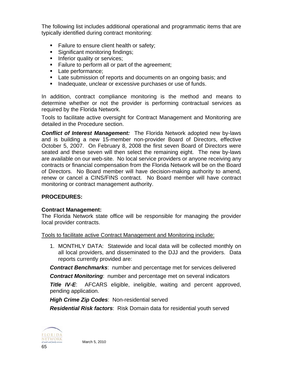The following list includes additional operational and programmatic items that are typically identified during contract monitoring:

- **Failure to ensure client health or safety;**
- Significant monitoring findings;
- **Inferior quality or services;**
- **Failure to perform all or part of the agreement;**
- Late performance;
- **Late submission of reports and documents on an ongoing basis; and**
- **Inadequate, unclear or excessive purchases or use of funds.**

In addition, contract compliance monitoring is the method and means to determine whether or not the provider is performing contractual services as required by the Florida Network.

Tools to facilitate active oversight for Contract Management and Monitoring are detailed in the Procedure section.

*Conflict of Interest Management:* The Florida Network adopted new by-laws and is building a new 15-member non-provider Board of Directors, effective October 5, 2007. On February 8, 2008 the first seven Board of Directors were seated and these seven will then select the remaining eight. The new by-laws are available on our web-site. No local service providers or anyone receiving any contracts or financial compensation from the Florida Network will be on the Board of Directors. No Board member will have decision-making authority to amend, renew or cancel a CINS/FINS contract. No Board member will have contract monitoring or contract management authority.

# **PROCEDURES:**

# **Contract Management:**

The Florida Network state office will be responsible for managing the provider local provider contracts.

Tools to facilitate active Contract Management and Monitoring include:

1. MONTHLY DATA: Statewide and local data will be collected monthly on all local providers, and disseminated to the DJJ and the providers. Data reports currently provided are:

*Contract Benchmarks*: number and percentage met for services delivered

*Contract Monitoring*: number and percentage met on several indicators

**Title IV-E:** AFCARS eligible, ineligible, waiting and percent approved, pending application.

*High Crime Zip Codes*: Non-residential served

*Residential Risk factors*: Risk Domain data for residential youth served

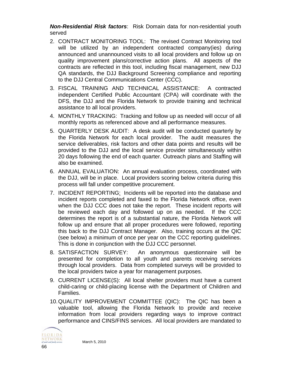*Non-Residential Risk factors*: Risk Domain data for non-residential youth served

- 2. CONTRACT MONITORING TOOL: The revised Contract Monitoring tool will be utilized by an independent contracted company(ies) during announced and unannounced visits to all local providers and follow up on quality improvement plans/corrective action plans. All aspects of the contracts are reflected in this tool, including fiscal management, new DJJ QA standards, the DJJ Background Screening compliance and reporting to the DJJ Central Communications Center (CCC).
- 3. FISCAL TRAINING AND TECHNICAL ASSISTANCE: A contracted independent Certified Public Accountant (CPA) will coordinate with the DFS, the DJJ and the Florida Network to provide training and technical assistance to all local providers.
- 4. MONTHLY TRACKING: Tracking and follow up as needed will occur of all monthly reports as referenced above and all performance measures.
- 5. QUARTERLY DESK AUDIT: A desk audit will be conducted quarterly by the Florida Network for each local provider. The audit measures the service deliverables, risk factors and other data points and results will be provided to the DJJ and the local service provider simultaneously within 20 days following the end of each quarter. Outreach plans and Staffing will also be examined.
- 6. ANNUAL EVALUATION: An annual evaluation process, coordinated with the DJJ, will be in place. Local providers scoring below criteria during this process will fall under competitive procurement.
- 7. INCIDENT REPORTING: Incidents will be reported into the database and incident reports completed and faxed to the Florida Network office, even when the DJJ CCC does not take the report. These incident reports will be reviewed each day and followed up on as needed. If the CCC determines the report is of a substantial nature, the Florida Network will follow up and ensure that all proper procedures were followed, reporting this back to the DJJ Contract Manager. Also, training occurs at the QIC (see below) a minimum of once per year on the CCC reporting guidelines. This is done in conjunction with the DJJ CCC personnel.
- 8. SATISFACTION SURVEY: An anonymous questionnaire will be presented for completion to all youth and parents receiving services through local providers. Data from completed surveys will be provided to the local providers twice a year for management purposes.
- 9. CURRENT LICENSE(S): All local shelter providers must have a current child-caring or child-placing license with the Department of Children and Families.
- 10. QUALITY IMPROVEMENT COMMITTEE (QIC): The QIC has been a valuable tool, allowing the Florida Network to provide and receive information from local providers regarding ways to improve contract performance and CINS/FINS services. All local providers are mandated to

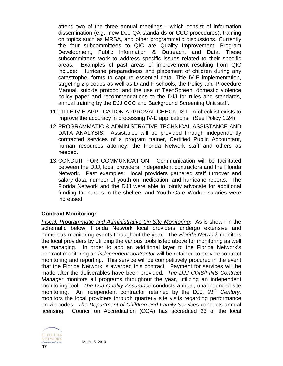attend two of the three annual meetings - which consist of information dissemination (e.g., new DJJ QA standards or CCC procedures), training on topics such as MRSA, and other programmatic discussions. Currently the four subcommittees to QIC are Quality Improvement, Program Development, Public Information & Outreach, and Data. These subcommittees work to address specific issues related to their specific areas. Examples of past areas of improvement resulting from QIC include: Hurricane preparedness and placement of children during any catastrophe, forms to capture essential data, Title IV-E implementation, targeting zip codes as well as D and F schools, the Policy and Procedure Manual, suicide protocol and the use of TeenScreen, domestic violence policy paper and recommendations to the DJJ for rules and standards, annual training by the DJJ CCC and Background Screening Unit staff.

- 11. TITLE IV-E APPLICATION APPROVAL CHECKLIST: A checklist exists to improve the accuracy in processing IV-E applications. (See Policy 1.24)
- 12. PROGRAMMATIC & ADMINISTRATIVE TECHNICAL ASSISTANCE AND DATA ANALYSIS: Assistance will be provided through independently contracted services of a program trainer, Certified Public Accountant, human resources attorney, the Florida Network staff and others as needed.
- 13. CONDUIT FOR COMMUNICATION: Communication will be facilitated between the DJJ, local providers, independent contractors and the Florida Network. Past examples: local providers gathered staff turnover and salary data, number of youth on medication, and hurricane reports. The Florida Network and the DJJ were able to jointly advocate for additional funding for nurses in the shelters and Youth Care Worker salaries were increased.

# **Contract Monitoring:**

*Fiscal, Programmatic and Administrative On-Site Monitoring***:** As is shown in the schematic below, Florida Network local providers undergo extensive and numerous monitoring events throughout the year. The *Florida Network* monitors the local providers by utilizing the various tools listed above for monitoring as well as managing. In order to add an additional layer to the Florida Network's contract monitoring an *independent contractor* will be retained to provide contract monitoring and reporting. This service will be competitively procured in the event that the Florida Network is awarded this contract. Payment for services will be made after the deliverables have been provided. *The DJJ CINS/FINS Contract Manager* monitors all programs throughout the year, utilizing an independent monitoring tool. *The DJJ Quality Assurance* conducts annual, unannounced site monitoring. An independent contractor retained by the DJJ, *21st Century,*  monitors the local providers through quarterly site visits regarding performance on zip codes. *The Department of Children and Family Services* conducts annual licensing. Council on Accreditation (COA) has accredited 23 of the local

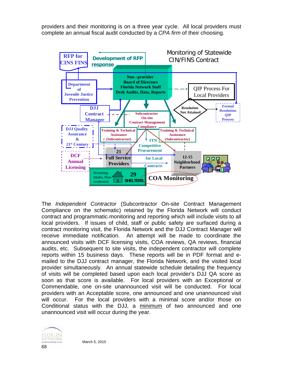providers and their monitoring is on a three year cycle. All local providers must complete an annual fiscal audit conducted by a *CPA firm* of their choosing.



The *Independent Contractor* (Subcontractor On-site Contract Management Compliance on the schematic) retained by the Florida Network will conduct contract and programmatic monitoring and reporting which will include visits to all local providers. If issues of child, staff or public safety are surfaced during a contract monitoring visit, the Florida Network and the DJJ Contract Manager will receive immediate notification. An attempt will be made to coordinate the announced visits with DCF licensing visits, COA reviews, QA reviews, financial audits, etc. Subsequent to site visits, the independent contractor will complete reports within 15 business days. These reports will be in PDF format and emailed to the DJJ contract manager, the Florida Network, and the visited local provider simultaneously. An annual statewide schedule detailing the frequency of visits will be completed based upon each local provider's DJJ QA score as soon as that score is available. For local providers with an Exceptional or Commendable, one on-site unannounced visit will be conducted. For local providers with an Acceptable score, one announced and one unannounced visit will occur. For the local providers with a minimal score and/or those on Conditional status with the DJJ, a minimum of two announced and one unannounced visit will occur during the year.

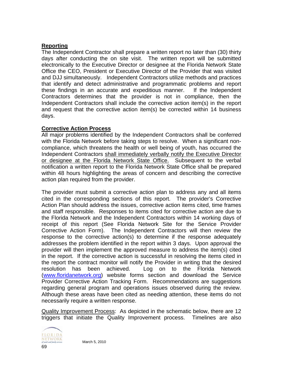# **Reporting**

The Independent Contractor shall prepare a written report no later than (30) thirty days after conducting the on site visit. The written report will be submitted electronically to the Executive Director or designee at the Florida Network State Office the CEO, President or Executive Director of the Provider that was visited and DJJ simultaneously. Independent Contractors utilize methods and practices that identify and detect administrative and programmatic problems and report these findings in an accurate and expeditious manner. If the Independent Contractors determines that the provider is not in compliance, then the Independent Contractors shall include the corrective action item(s) in the report and request that the corrective action item(s) be corrected within 14 business days.

# **Corrective Action Process**

All major problems identified by the Independent Contractors shall be conferred with the Florida Network before taking steps to resolve. When a significant noncompliance, which threatens the health or well being of youth, has occurred the Independent Contractors shall immediately verbally notify the Executive Director or designee at the Florida Network State Office. Subsequent to the verbal notification a written report to the Florida Network State Office shall be prepared within 48 hours highlighting the areas of concern and describing the corrective action plan required from the provider.

The provider must submit a corrective action plan to address any and all items cited in the corresponding sections of this report. The provider's Corrective Action Plan should address the issues, corrective action items cited, time frames and staff responsible. Responses to items cited for corrective action are due to the Florida Network and the Independent Contractors within 14 working days of receipt of this report (See Florida Network Site for the Service Provider Corrective Action Form). The Independent Contractors will then review the response to the corrective action(s) to determine if the response adequately addresses the problem identified in the report within 3 days. Upon approval the provider will then implement the approved measure to address the item(s) cited in the report. If the corrective action is successful in resolving the items cited in the report the contract monitor will notify the Provider in writing that the desired resolution has been achieved. Log on to the Florida Network ([www.floridanetwork.org\)](http://www.floridanetwork.org/) website forms section and download the Service Provider Corrective Action Tracking Form. Recommendations are suggestions regarding general program and operations issues observed during the review. Although these areas have been cited as needing attention, these items do not necessarily require a written response.

Quality Improvement Process: As depicted in the schematic below, there are 12 triggers that initiate the Quality Improvement process. Timelines are also

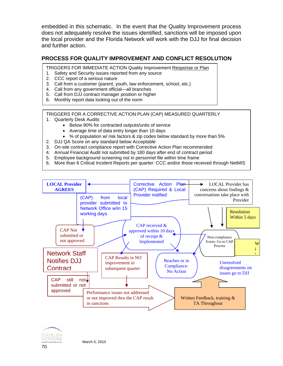embedded in this schematic. In the event that the Quality Improvement process does not adequately resolve the issues identified, sanctions will be imposed upon the local provider and the Florida Network will work with the DJJ for final decision and further action.

# **PROCESS FOR QUALITY IMPROVEMENT AND CONFLICT RESOLUTION**

TRIGGERS FOR IMMEDIATE ACTION Quality Improvement Response or Plan

- 1. Safety and Security issues reported from any source
- 2. CCC report of a serious nature
- 3. Call from a customer (parent, youth, law enforcement, school, etc.)
- 4. Call from any government official—all branches
- 5. Call from DJJ contract manager position or higher
- 6. Monthly report data looking out of the norm

TRIGGERS FOR A CORRECTIVE ACTION PLAN (CAP) MEASURED QUARTERLY

- 1. Quarterly Desk Audits
	- Below 90% for contracted outputs/units of service
	- Average time of data entry longer than 10 days
	- % of population w/ risk factors & zip codes below standard by more than 5%
- 2. DJJ QA Score on any standard below Acceptable
- 3. On-site contract compliance report with Corrective Action Plan recommended
- 4. Annual Financial Audit not submitted by 180 days after end of contract period
- 5. Employee background screening not in personnel file within time frame
- 5. Employee background screening not in personner lile within time frame<br>6. More than 6 Critical Incident Reports per quarter: CCC and/or those received through NetMIS



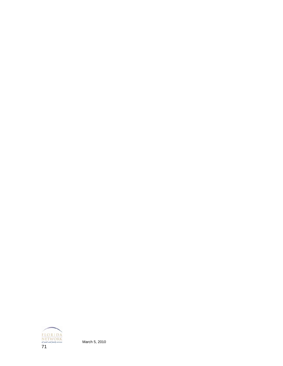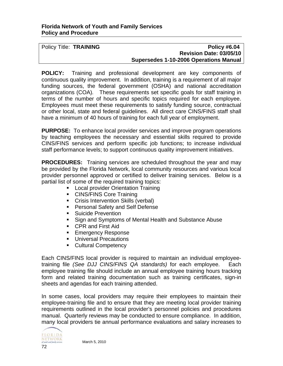#### Policy Title: **TRAINING** Policy #6.04 **Revision Date: 03/05/10 Supersedes 1-10-2006 Operations Manual**

**POLICY:** Training and professional development are key components of continuous quality improvement. In addition, training is a requirement of all major funding sources, the federal government (OSHA) and national accreditation organizations (COA)*.* These requirements set specific goals for staff training in terms of the number of hours and specific topics required for each employee. Employees must meet these requirements to satisfy funding source, contractual or other local, state and federal guidelines. All direct care CINS/FINS staff shall have a minimum of 40 hours of training for each full year of employment.

**PURPOSE:**To enhance local provider services and improve program operations by teaching employees the necessary and essential skills required to provide CINS/FINS services and perform specific job functions; to increase individual staff performance levels; to support continuous quality improvement initiatives.

**PROCEDURES:** Training services are scheduled throughout the year and may be provided by the Florida Network, local community resources and various local provider personnel approved or certified to deliver training services. Below is a partial list of some of the required training topics:

- **Local provider Orientation Training**
- **CINS/FINS Core Training**
- **Crisis Intervention Skills (verbal)**
- **Personal Safety and Self Defense**
- **Suicide Prevention**
- Sign and Symptoms of Mental Health and Substance Abuse
- **CPR and First Aid**
- **Emergency Response**
- **Universal Precautions**
- Cultural Competency

Each CINS/FINS local provider is required to maintain an individual employeetraining file *(See DJJ CINS/FINS QA standards)* for each employee. Each employee training file should include an annual employee training hours tracking form and related training documentation such as training certificates, sign-in sheets and agendas for each training attended.

In some cases, local providers may require their employees to maintain their employee-training file and to ensure that they are meeting local provider training requirements outlined in the local provider's personnel policies and procedures manual. Quarterly reviews may be conducted to ensure compliance. In addition, many local providers tie annual performance evaluations and salary increases to

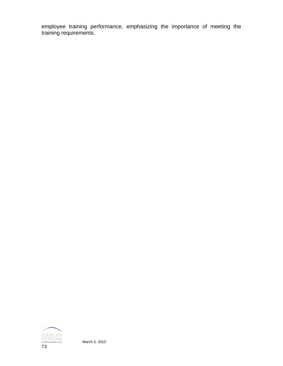employee training performance, emphasizing the importance of meeting the training requirements.

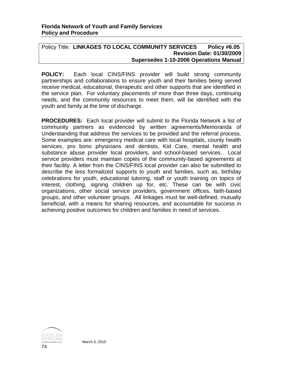## Policy Title: **LINKAGES TO LOCAL COMMUNITY SERVICES Policy #6.05 Revision Date: 01/30/2009 Supersedes 1-10-2006 Operations Manual**

**POLICY:** Each local CINS/FINS provider will build strong community partnerships and collaborations to ensure youth and their families being served receive medical, educational, therapeutic and other supports that are identified in the service plan. For voluntary placements of more than three days, continuing needs, and the community resources to meet them, will be identified with the youth and family at the time of discharge.

**PROCEDURES:** Each local provider will submit to the Florida Network a list of community partners as evidenced by written agreements/Memoranda of Understanding that address the services to be provided and the referral process. Some examples are: emergency medical care with local hospitals, county health services, pro bono physicians and dentists, Kid Care, mental health and substance abuse provider local providers, and school-based services. Local service providers must maintain copies of the community-based agreements at their facility. A letter from the CINS/FINS local provider can also be submitted to describe the less formalized supports to youth and families, such as, birthday celebrations for youth, educational tutoring, staff or youth training on topics of interest, clothing, signing children up for, etc. These can be with civic organizations, other social service providers, government offices, faith-based groups, and other volunteer groups. All linkages must be well-defined, mutually beneficial, with a means for sharing resources, and accountable for success in achieving positive outcomes for children and families in need of services.